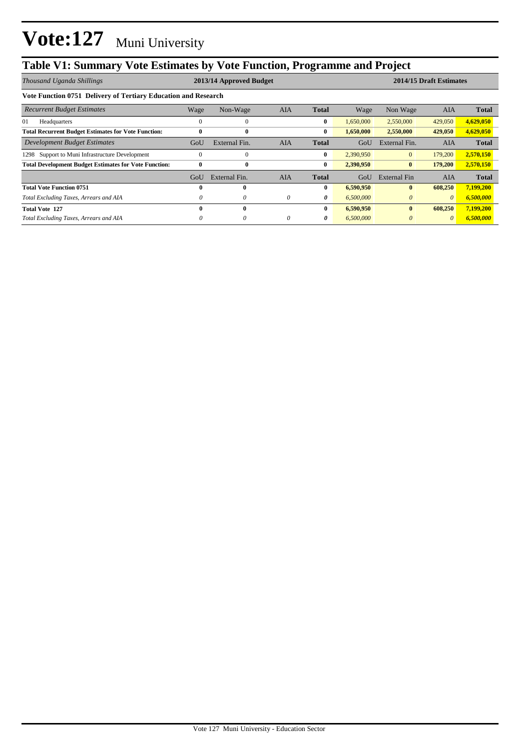## **Table V1: Summary Vote Estimates by Vote Function, Programme and Project**

| Thousand Uganda Shillings                                      | 2013/14 Approved Budget |               |            |              |           | 2014/15 Draft Estimates |            |              |  |  |
|----------------------------------------------------------------|-------------------------|---------------|------------|--------------|-----------|-------------------------|------------|--------------|--|--|
| Vote Function 0751 Delivery of Tertiary Education and Research |                         |               |            |              |           |                         |            |              |  |  |
| <b>Recurrent Budget Estimates</b>                              | Wage                    | Non-Wage      | <b>AIA</b> | <b>Total</b> | Wage      | Non Wage                | <b>AIA</b> | <b>Total</b> |  |  |
| 01<br>Headquarters                                             | $\Omega$                | 0             |            | $\bf{0}$     | 1,650,000 | 2,550,000               | 429,050    | 4,629,050    |  |  |
| <b>Total Recurrent Budget Estimates for Vote Function:</b>     | 0                       | $\bf{0}$      |            | $\bf{0}$     | 1,650,000 | 2,550,000               | 429,050    | 4,629,050    |  |  |
| Development Budget Estimates                                   | GoU                     | External Fin. | <b>AIA</b> | Total        | GoU       | External Fin.           | <b>AIA</b> | <b>Total</b> |  |  |
| Support to Muni Infrastructure Development<br>1298             | $\Omega$                | $\theta$      |            | $\bf{0}$     | 2,390,950 | $\mathbf{0}$            | 179,200    | 2,570,150    |  |  |
| <b>Total Development Budget Estimates for Vote Function:</b>   | $\bf{0}$                | $\bf{0}$      |            | $\bf{0}$     | 2,390,950 | $\bf{0}$                | 179,200    | 2,570,150    |  |  |
|                                                                | GoU                     | External Fin. | AIA        | <b>Total</b> | GoU       | External Fin            | AIA        | <b>Total</b> |  |  |
| <b>Total Vote Function 0751</b>                                | 0                       |               |            | $\bf{0}$     | 6,590,950 | $\mathbf{0}$            | 608,250    | 7,199,200    |  |  |
| Total Excluding Taxes, Arrears and AIA                         | 0                       | 0             | $\theta$   | 0            | 6,500,000 | $\theta$                | $\theta$   | 6,500,000    |  |  |
| <b>Total Vote 127</b>                                          | 0                       | $\bf{0}$      |            | $\bf{0}$     | 6,590,950 | $\mathbf{0}$            | 608,250    | 7,199,200    |  |  |
| Total Excluding Taxes, Arrears and AIA                         | 0                       | 0             | $\theta$   | 0            | 6,500,000 | $\theta$                | $\theta$   | 6,500,000    |  |  |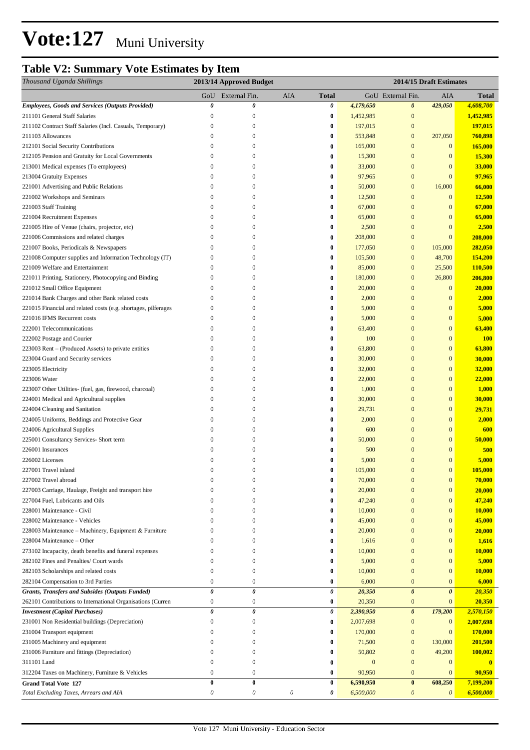### **Table V2: Summary Vote Estimates by Item**

| Thousand Uganda Shillings                                      | 2013/14 Approved Budget |                           |                       |                  | 2014/15 Draft Estimates |                       |                       |               |
|----------------------------------------------------------------|-------------------------|---------------------------|-----------------------|------------------|-------------------------|-----------------------|-----------------------|---------------|
|                                                                | GoU                     | External Fin.             | AIA                   | <b>Total</b>     |                         | GoU External Fin.     | AIA                   | Total         |
| <b>Employees, Goods and Services (Outputs Provided)</b>        | 0                       | 0                         |                       | 0                | 4,179,650               | $\boldsymbol{\theta}$ | 429,050               | 4,608,700     |
| 211101 General Staff Salaries                                  | $\boldsymbol{0}$        | $\boldsymbol{0}$          |                       | $\bf{0}$         | 1,452,985               | $\boldsymbol{0}$      |                       | 1,452,985     |
| 211102 Contract Staff Salaries (Incl. Casuals, Temporary)      | 0                       | $\boldsymbol{0}$          |                       | $\bf{0}$         | 197,015                 | $\boldsymbol{0}$      |                       | 197,015       |
| 211103 Allowances                                              | 0                       | $\boldsymbol{0}$          |                       | $\bf{0}$         | 553,848                 | $\mathbf{0}$          | 207,050               | 760,898       |
| 212101 Social Security Contributions                           | $\mathbf{0}$            | $\mathbf{0}$              |                       | $\bf{0}$         | 165,000                 | $\boldsymbol{0}$      | $\mathbf{0}$          | 165,000       |
| 212105 Pension and Gratuity for Local Governments              | 0                       | $\mathbf{0}$              |                       | $\bf{0}$         | 15,300                  | $\mathbf{0}$          | $\mathbf{0}$          | 15,300        |
| 213001 Medical expenses (To employees)                         | $\boldsymbol{0}$        | $\mathbf{0}$              |                       | $\bf{0}$         | 33,000                  | $\mathbf{0}$          | $\mathbf{0}$          | 33,000        |
| 213004 Gratuity Expenses                                       | 0                       | $\boldsymbol{0}$          |                       | 0                | 97,965                  | $\boldsymbol{0}$      | $\mathbf{0}$          | 97,965        |
| 221001 Advertising and Public Relations                        | 0                       | $\boldsymbol{0}$          |                       | $\bf{0}$         | 50,000                  | $\boldsymbol{0}$      | 16,000                | 66,000        |
| 221002 Workshops and Seminars                                  | $\boldsymbol{0}$        | $\boldsymbol{0}$          |                       | $\boldsymbol{0}$ | 12,500                  | $\mathbf{0}$          | $\mathbf{0}$          | 12,500        |
| 221003 Staff Training                                          | 0                       | $\mathbf{0}$              |                       | $\boldsymbol{0}$ | 67,000                  | $\mathbf{0}$          | $\bf{0}$              | 67,000        |
| 221004 Recruitment Expenses                                    | 0                       | $\boldsymbol{0}$          |                       | $\bf{0}$         | 65,000                  | $\boldsymbol{0}$      | $\bf{0}$              | 65,000        |
| 221005 Hire of Venue (chairs, projector, etc)                  | 0                       | $\boldsymbol{0}$          |                       | $\bf{0}$         | 2,500                   | $\mathbf{0}$          | $\mathbf{0}$          | 2,500         |
| 221006 Commissions and related charges                         | $\boldsymbol{0}$        | $\mathbf{0}$              |                       | $\bf{0}$         | 208,000                 | $\mathbf{0}$          | $\overline{0}$        | 208,000       |
| 221007 Books, Periodicals & Newspapers                         | 0                       | $\boldsymbol{0}$          |                       | $\bf{0}$         | 177,050                 | $\mathbf{0}$          | 105,000               | 282,050       |
| 221008 Computer supplies and Information Technology (IT)       | 0                       | $\mathbf{0}$              |                       | $\bf{0}$         | 105,500                 | $\mathbf{0}$          | 48,700                | 154,200       |
| 221009 Welfare and Entertainment                               | 0                       | $\boldsymbol{0}$          |                       | $\bf{0}$         | 85,000                  | $\boldsymbol{0}$      | 25,500                | 110,500       |
| 221011 Printing, Stationery, Photocopying and Binding          | 0                       | $\boldsymbol{0}$          |                       | $\bf{0}$         | 180,000                 | $\boldsymbol{0}$      | 26,800                | 206,800       |
| 221012 Small Office Equipment                                  | 0                       | $\boldsymbol{0}$          |                       | 0                | 20,000                  | $\boldsymbol{0}$      | $\mathbf{0}$          | 20,000        |
| 221014 Bank Charges and other Bank related costs               | $\overline{0}$          | $\boldsymbol{0}$          |                       | 0                | 2,000                   | $\boldsymbol{0}$      | $\bf{0}$              | 2,000         |
| 221015 Financial and related costs (e.g. shortages, pilferages | 0                       | $\boldsymbol{0}$          |                       | 0                | 5,000                   | $\boldsymbol{0}$      | $\bf{0}$              | 5,000         |
| 221016 IFMS Recurrent costs                                    | 0                       | $\boldsymbol{0}$          |                       | 0                | 5,000                   | $\boldsymbol{0}$      | $\bf{0}$              | 5,000         |
| 222001 Telecommunications                                      | $\boldsymbol{0}$        | $\boldsymbol{0}$          |                       | $\bf{0}$         | 63,400                  | $\mathbf{0}$          | $\bf{0}$              | 63,400        |
| 222002 Postage and Courier                                     | 0                       | $\boldsymbol{0}$          |                       | $\bf{0}$         | 100                     | $\mathbf{0}$          | $\bf{0}$              | <b>100</b>    |
| 223003 Rent – (Produced Assets) to private entities            | $\overline{0}$          | $\mathbf{0}$              |                       | $\bf{0}$         | 63,800                  | $\mathbf{0}$          | $\bf{0}$              | 63,800        |
| 223004 Guard and Security services                             | $\mathbf{0}$            | $\mathbf{0}$              |                       | $\bf{0}$         | 30,000                  | $\boldsymbol{0}$      | $\bf{0}$              | 30,000        |
| 223005 Electricity                                             | $\boldsymbol{0}$        | $\boldsymbol{0}$          |                       | $\bf{0}$         | 32,000                  | $\boldsymbol{0}$      | $\bf{0}$              | 32,000        |
| 223006 Water                                                   | $\boldsymbol{0}$        | $\boldsymbol{0}$          |                       | $\bf{0}$         | 22,000                  | $\boldsymbol{0}$      | $\bf{0}$              | 22,000        |
| 223007 Other Utilities- (fuel, gas, firewood, charcoal)        | 0                       | $\boldsymbol{0}$          |                       | 0                | 1,000                   | $\boldsymbol{0}$      | $\bf{0}$              | 1,000         |
| 224001 Medical and Agricultural supplies                       | $\overline{0}$          | $\mathbf{0}$              |                       | $\bf{0}$         | 30,000                  | $\mathbf{0}$          | $\bf{0}$              | 30,000        |
| 224004 Cleaning and Sanitation                                 | 0                       | $\boldsymbol{0}$          |                       | $\bf{0}$         | 29,731                  | $\boldsymbol{0}$      | $\bf{0}$              | 29,731        |
| 224005 Uniforms, Beddings and Protective Gear                  | $\boldsymbol{0}$        | $\mathbf{0}$              |                       | $\boldsymbol{0}$ | 2,000                   | $\mathbf{0}$          | $\bf{0}$              | 2,000         |
| 224006 Agricultural Supplies                                   | $\boldsymbol{0}$        | $\mathbf{0}$              |                       | $\bf{0}$         | 600                     | $\mathbf{0}$          | $\bf{0}$              | 600           |
| 225001 Consultancy Services- Short term                        | $\mathbf{0}$            | $\mathbf{0}$              |                       | $\bf{0}$         | 50,000                  | $\overline{0}$        | $\bf{0}$              | 50,000        |
| 226001 Insurances                                              | 0                       | $\mathbf{0}$              |                       | $\bf{0}$         | 500                     | $\boldsymbol{0}$      | $\bf{0}$              | 500           |
| 226002 Licenses                                                | 0                       | $\boldsymbol{0}$          |                       | 0                | 5,000                   | $\mathbf{0}$          | $\bf{0}$              | 5,000         |
| 227001 Travel inland                                           | $\Omega$                | $\mathbf{0}$              |                       | $\bf{0}$         | 105,000                 | $\Omega$              | $\overline{0}$        | 105,000       |
| 227002 Travel abroad                                           | $\overline{0}$          | $\boldsymbol{0}$          |                       | $\bf{0}$         | 70,000                  | $\mathbf{0}$          | $\boldsymbol{0}$      | 70,000        |
| 227003 Carriage, Haulage, Freight and transport hire           | $\overline{0}$          | $\mathbf{0}$              |                       | $\bf{0}$         | 20,000                  | $\mathbf{0}$          | $\boldsymbol{0}$      | 20,000        |
| 227004 Fuel, Lubricants and Oils                               | $\overline{0}$          | $\mathbf{0}$              |                       | 0                | 47,240                  | $\boldsymbol{0}$      | $\bf{0}$              | 47,240        |
| 228001 Maintenance - Civil                                     | 0                       | $\mathbf{0}$              |                       | $\boldsymbol{0}$ | 10,000                  | $\mathbf{0}$          | $\boldsymbol{0}$      | 10,000        |
| 228002 Maintenance - Vehicles                                  | $\overline{0}$          | $\mathbf{0}$              |                       | $\bf{0}$         | 45,000                  | $\mathbf{0}$          | $\bf{0}$              | 45,000        |
| 228003 Maintenance - Machinery, Equipment & Furniture          | 0                       | $\mathbf{0}$              |                       | $\bf{0}$         | 20,000                  | $\mathbf{0}$          | $\bf{0}$              | 20,000        |
| 228004 Maintenance - Other                                     | $\Omega$                | $\mathbf{0}$              |                       | $\bf{0}$         | 1,616                   | $\boldsymbol{0}$      | $\bf{0}$              | 1,616         |
| 273102 Incapacity, death benefits and funeral expenses         | 0                       | $\boldsymbol{0}$          |                       | $\bf{0}$         | 10,000                  | $\boldsymbol{0}$      | $\boldsymbol{0}$      | <b>10,000</b> |
| 282102 Fines and Penalties/ Court wards                        | 0                       | $\boldsymbol{0}$          |                       | $\bf{0}$         | 5,000                   | $\boldsymbol{0}$      | $\mathbf{0}$          | 5,000         |
| 282103 Scholarships and related costs                          | 0                       | $\boldsymbol{0}$          |                       | $\bf{0}$         | 10,000                  | $\boldsymbol{0}$      | $\mathbf{0}$          | <b>10,000</b> |
| 282104 Compensation to 3rd Parties                             | 0                       | $\boldsymbol{0}$          |                       | $\bf{0}$         | 6,000                   | $\mathbf{0}$          | $\mathbf{0}$          | 6,000         |
| Grants, Transfers and Subsides (Outputs Funded)                | 0                       | $\theta$                  |                       | 0                | 20,350                  | $\boldsymbol{\theta}$ | $\boldsymbol{\theta}$ | 20,350        |
| 262101 Contributions to International Organisations (Curren    | $\boldsymbol{0}$        | $\boldsymbol{0}$          |                       | $\bf{0}$         | 20,350                  | $\mathbf{0}$          | $\mathbf{0}$          | 20,350        |
| <b>Investment</b> (Capital Purchases)                          | 0                       | 0                         |                       | $\pmb{\theta}$   | 2,390,950               | $\boldsymbol{\theta}$ | 179,200               | 2,570,150     |
| 231001 Non Residential buildings (Depreciation)                | $\boldsymbol{0}$        | $\boldsymbol{0}$          |                       | $\bf{0}$         | 2,007,698               | $\mathbf{0}$          | $\mathbf{0}$          | 2,007,698     |
| 231004 Transport equipment                                     | 0                       | $\mathbf{0}$              |                       | $\bf{0}$         | 170,000                 | $\mathbf{0}$          | $\mathbf{0}$          | 170,000       |
| 231005 Machinery and equipment                                 | 0                       | $\mathbf{0}$              |                       | $\bf{0}$         | 71,500                  | $\mathbf{0}$          | 130,000               | 201,500       |
| 231006 Furniture and fittings (Depreciation)                   | 0                       | $\boldsymbol{0}$          |                       | $\bf{0}$         | 50,802                  | $\mathbf{0}$          | 49,200                | 100,002       |
| 311101 Land                                                    | 0                       | $\boldsymbol{0}$          |                       | $\bf{0}$         | $\boldsymbol{0}$        | $\boldsymbol{0}$      | $\bf{0}$              | $\bf{0}$      |
| 312204 Taxes on Machinery, Furniture & Vehicles                | 0                       | $\boldsymbol{0}$          |                       | $\bf{0}$         | 90,950                  | $\mathbf{0}$          | $\mathbf{0}$          | 90,950        |
| <b>Grand Total Vote 127</b>                                    | $\bf{0}$                | $\bf{0}$                  |                       | $\bf{0}$         | 6,590,950               | $\bf{0}$              | 608,250               | 7,199,200     |
| Total Excluding Taxes, Arrears and AIA                         | 0                       | $\boldsymbol{\mathit{0}}$ | $\boldsymbol{\theta}$ | 0                | 6,500,000               | $\boldsymbol{\theta}$ | $\theta$              | 6,500,000     |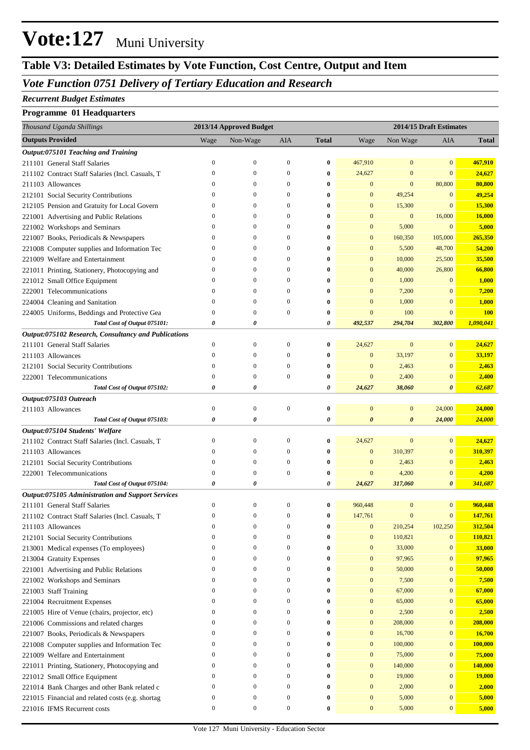### **Table V3: Detailed Estimates by Vote Function, Cost Centre, Output and Item**

#### *Vote Function 0751 Delivery of Tertiary Education and Research*

#### *Recurrent Budget Estimates*

#### **Programme 01 Headquarters**

| <b>Outputs Provided</b><br>AIA<br>Wage<br>Non-Wage<br><b>Total</b><br>Non Wage<br>AIA<br><b>Total</b><br>Wage<br>Output:075101 Teaching and Training<br>467,910<br>211101 General Staff Salaries<br>$\mathbf{0}$<br>467,910<br>$\bf{0}$<br>$\mathbf{0}$<br>$\boldsymbol{0}$<br>$\boldsymbol{0}$<br>$\bf{0}$<br>$\mathbf{0}$<br>$\boldsymbol{0}$<br>$\bf{0}$<br>24,627<br>$\boldsymbol{0}$<br>$\mathbf{0}$<br>24,627<br>211102 Contract Staff Salaries (Incl. Casuals, T<br>$\boldsymbol{0}$<br>$\mathbf{0}$<br>$\mathbf{0}$<br>80,800<br>80,800<br>211103 Allowances<br>$\boldsymbol{0}$<br>$\boldsymbol{0}$<br>$\boldsymbol{0}$<br>$\bf{0}$<br>49,254<br>49,254<br>$\mathbf{0}$<br>212101 Social Security Contributions<br>$\boldsymbol{0}$<br>$\mathbf{0}$<br>$\bf{0}$<br>$\mathbf{0}$<br>$\mathbf{0}$<br>15,300<br>15,300<br>212105 Pension and Gratuity for Local Govern<br>$\boldsymbol{0}$<br>$\boldsymbol{0}$<br>$\mathbf{0}$<br>$\bf{0}$<br>$\mathbf{0}$<br>$\bf{0}$<br>$\boldsymbol{0}$<br>16,000<br>16,000<br>221001 Advertising and Public Relations<br>$\mathbf{0}$<br>$\boldsymbol{0}$<br>$\mathbf{0}$<br>$\bf{0}$<br>$\mathbf{0}$<br>5,000<br>$\mathbf{0}$<br>5,000<br>221002 Workshops and Seminars<br>$\boldsymbol{0}$<br>$\boldsymbol{0}$<br>$\bf{0}$<br>$\mathbf{0}$<br>$\mathbf{0}$<br>265,350<br>105,000<br>221007 Books, Periodicals & Newspapers<br>$\boldsymbol{0}$<br>$\boldsymbol{0}$<br>$\mathbf{0}$<br>$\bf{0}$<br>$\mathbf{0}$<br>160,350<br>54,200<br>5,500<br>48,700<br>221008 Computer supplies and Information Tec<br>$\boldsymbol{0}$<br>$\boldsymbol{0}$<br>$\mathbf{0}$<br>$\bf{0}$<br>$\mathbf{0}$<br>$\mathbf{0}$<br>10,000<br>25,500<br>35,500<br>221009 Welfare and Entertainment<br>$\mathbf{0}$<br>$\boldsymbol{0}$<br>$\mathbf{0}$<br>$\bf{0}$<br>$\mathbf{0}$<br>40,000<br>26,800<br>66,800<br>221011 Printing, Stationery, Photocopying and<br>$\boldsymbol{0}$<br>$\boldsymbol{0}$<br>$\boldsymbol{0}$<br>$\bf{0}$<br>$\mathbf{0}$<br>1,000<br>$\boldsymbol{0}$<br>1,000<br>221012 Small Office Equipment<br>$\boldsymbol{0}$<br>$\boldsymbol{0}$<br>$\mathbf{0}$<br>$\bf{0}$<br>222001 Telecommunications<br>$\mathbf{0}$<br>7,200<br>$\mathbf{0}$<br>$\boldsymbol{0}$<br>$\mathbf{0}$<br>$\bf{0}$<br>7,200<br>$\bf{0}$<br>$\mathbf{0}$<br>$\mathbf{0}$<br>1,000<br>224004 Cleaning and Sanitation<br>$\boldsymbol{0}$<br>$\boldsymbol{0}$<br>$\bf{0}$<br>$\mathbf{0}$<br>1,000<br>$\boldsymbol{0}$<br>$\mathbf{0}$<br>100<br>$\mathbf{0}$<br><b>100</b><br>224005 Uniforms, Beddings and Protective Gea<br>$\boldsymbol{0}$<br>$\boldsymbol{0}$<br>$\bf{0}$<br>1,090,041<br>0<br>0<br>0<br>492,537<br>294,704<br>302,800<br>Total Cost of Output 075101:<br>Output:075102 Research, Consultancy and Publications<br>211101 General Staff Salaries<br>$\boldsymbol{0}$<br>$\boldsymbol{0}$<br>$\boldsymbol{0}$<br>24,627<br>$\boldsymbol{0}$<br>$\mathbf{0}$<br>$\bf{0}$<br>24,627<br>$\mathbf{0}$<br>33,197<br>$\boldsymbol{0}$<br>33,197<br>$\boldsymbol{0}$<br>$\boldsymbol{0}$<br>$\mathbf{0}$<br>$\bf{0}$<br>211103 Allowances<br>$\boldsymbol{0}$<br>$\mathbf{0}$<br>$\boldsymbol{0}$<br>$\boldsymbol{0}$<br>$\mathbf{0}$<br>2,463<br>2,463<br>212101 Social Security Contributions<br>$\bf{0}$<br>$\boldsymbol{0}$<br>2,400<br>$\boldsymbol{0}$<br>$\boldsymbol{0}$<br>$\boldsymbol{0}$<br>$\mathbf{0}$<br>2,400<br>222001 Telecommunications<br>$\bf{0}$<br>0<br>0<br>0<br>24,627<br>38,060<br>0<br>62,687<br>Total Cost of Output 075102:<br>Output:075103 Outreach<br>$\boldsymbol{0}$<br>$\boldsymbol{0}$<br>$\boldsymbol{0}$<br>$\bf{0}$<br>24,000<br>$\bf{0}$<br>$\mathbf{0}$<br>24,000<br>211103 Allowances<br>24,000<br>24,000<br>0<br>0<br>0<br>$\boldsymbol{\theta}$<br>$\boldsymbol{\theta}$<br>Total Cost of Output 075103:<br>Output:075104 Students' Welfare<br>$\boldsymbol{0}$<br>$\boldsymbol{0}$<br>24,627<br>$\boldsymbol{0}$<br>$\mathbf{0}$<br>$\boldsymbol{0}$<br>$\bf{0}$<br>24,627<br>211102 Contract Staff Salaries (Incl. Casuals, T<br>$\boldsymbol{0}$<br>310,397<br>$\boldsymbol{0}$<br>310,397<br>$\boldsymbol{0}$<br>$\boldsymbol{0}$<br>$\boldsymbol{0}$<br>211103 Allowances<br>$\bf{0}$<br>$\mathbf{0}$<br>$\boldsymbol{0}$<br>$\boldsymbol{0}$<br>2,463<br>212101 Social Security Contributions<br>$\boldsymbol{0}$<br>$\bf{0}$<br>$\mathbf{0}$<br>2,463<br>$\mathbf{0}$<br>4,200<br>$\boldsymbol{0}$<br>4,200<br>222001 Telecommunications<br>$\boldsymbol{0}$<br>$\boldsymbol{0}$<br>$\bf{0}$<br>$\mathbf{0}$<br>Total Cost of Output 075104:<br>0<br>0<br>0<br>317,060<br>341,687<br>24,627<br>0<br>Output:075105 Administration and Support Services<br>$\boldsymbol{0}$<br>$\overline{0}$<br>960,448<br>211101 General Staff Salaries<br>$\boldsymbol{0}$<br>$\boldsymbol{0}$<br>$\bf{0}$<br>960,448<br>$\boldsymbol{0}$<br>147,761<br>$\mathbf{0}$<br>$\mathbf{0}$<br>$\Omega$<br>$\bf{0}$<br>147,761<br>$\mathbf{0}$<br>$\mathbf{0}$<br>211102 Contract Staff Salaries (Incl. Casuals, T<br>210,254<br>102,250<br>312,504<br>$\boldsymbol{0}$<br>$\boldsymbol{0}$<br>$\boldsymbol{0}$<br>$\bf{0}$<br>$\boldsymbol{0}$<br>211103 Allowances<br>$\mathbf{0}$<br>$\boldsymbol{0}$<br>110,821<br>$\boldsymbol{0}$<br>110,821<br>212101 Social Security Contributions<br>$\boldsymbol{0}$<br>$\bf{0}$<br>$\boldsymbol{0}$<br>33,000<br>$\boldsymbol{0}$<br>33,000<br>213001 Medical expenses (To employees)<br>$\boldsymbol{0}$<br>$\boldsymbol{0}$<br>$\bf{0}$<br>$\boldsymbol{0}$<br>$\bf{0}$<br>97,965<br>$\boldsymbol{0}$<br>97,965<br>213004 Gratuity Expenses<br>$\boldsymbol{0}$<br>$\boldsymbol{0}$<br>$\bf{0}$<br>$\bf{0}$<br>$\boldsymbol{0}$<br>$\boldsymbol{0}$<br>50,000<br>221001 Advertising and Public Relations<br>$\boldsymbol{0}$<br>$\boldsymbol{0}$<br>$\bf{0}$<br>$\boldsymbol{0}$<br>50,000<br>$\boldsymbol{0}$<br>7,500<br>221002 Workshops and Seminars<br>$\boldsymbol{0}$<br>$\boldsymbol{0}$<br>7,500<br>$\boldsymbol{0}$<br>$\bf{0}$<br>$\boldsymbol{0}$<br>$\boldsymbol{0}$<br>221003 Staff Training<br>$\boldsymbol{0}$<br>$\boldsymbol{0}$<br>67,000<br>67,000<br>$\boldsymbol{0}$<br>$\bf{0}$<br>$\bf{0}$<br>$\boldsymbol{0}$<br>$\boldsymbol{0}$<br>65,000<br>65,000<br>221004 Recruitment Expenses<br>$\boldsymbol{0}$<br>0<br>$\bf{0}$<br>$\bf{0}$<br>$\boldsymbol{0}$<br>221005 Hire of Venue (chairs, projector, etc)<br>$\boldsymbol{0}$<br>$\boldsymbol{0}$<br>2,500<br>2,500<br>$\boldsymbol{0}$<br>$\bf{0}$<br>$\bf{0}$<br>$\boldsymbol{0}$<br>$\boldsymbol{0}$<br>$\boldsymbol{0}$<br>208,000<br>208,000<br>221006 Commissions and related charges<br>$\boldsymbol{0}$<br>$\bf{0}$<br>$\bf{0}$<br>$\boldsymbol{0}$<br>$\boldsymbol{0}$<br>16,700<br>$\boldsymbol{0}$<br>0<br>$\bf{0}$<br>$\boldsymbol{0}$<br>16,700<br>221007 Books, Periodicals & Newspapers<br>$\bf{0}$<br>$\boldsymbol{0}$<br>100,000<br>$\boldsymbol{0}$<br>$\boldsymbol{0}$<br>$\bf{0}$<br>$\boldsymbol{0}$<br>100,000<br>221008 Computer supplies and Information Tec<br>$\bf{0}$<br>$\boldsymbol{0}$<br>$\boldsymbol{0}$<br>75,000<br>221009 Welfare and Entertainment<br>$\boldsymbol{0}$<br>$\bf{0}$<br>$\boldsymbol{0}$<br>75,000<br>$\bf{0}$<br>$\boldsymbol{0}$<br>$\boldsymbol{0}$<br>140,000<br>$\boldsymbol{0}$<br>$\bf{0}$<br>$\boldsymbol{0}$<br>140,000<br>221011 Printing, Stationery, Photocopying and<br>$\bf{0}$<br>$\boldsymbol{0}$<br>19,000<br>$\boldsymbol{0}$<br>0<br>$\boldsymbol{0}$<br>$\boldsymbol{0}$<br><b>19,000</b><br>221012 Small Office Equipment<br>$\bf{0}$<br>$\boldsymbol{0}$<br>$\boldsymbol{0}$<br>2,000<br>$\boldsymbol{0}$<br>$\boldsymbol{0}$<br>$\boldsymbol{0}$<br>2,000<br>221014 Bank Charges and other Bank related c<br>0<br>$\boldsymbol{0}$<br>$\boldsymbol{0}$<br>$\boldsymbol{0}$<br>5,000<br>$\boldsymbol{0}$<br>$\boldsymbol{0}$<br>5,000<br>221015 Financial and related costs (e.g. shortag<br>$\bf{0}$<br>$\boldsymbol{0}$<br>$\boldsymbol{0}$<br>$\boldsymbol{0}$<br>5,000<br>$\bf{0}$<br>$\boldsymbol{0}$<br>$\boldsymbol{0}$<br>221016 IFMS Recurrent costs<br>5,000 | Thousand Uganda Shillings | 2013/14 Approved Budget |  |  | 2014/15 Draft Estimates |  |  |  |
|--------------------------------------------------------------------------------------------------------------------------------------------------------------------------------------------------------------------------------------------------------------------------------------------------------------------------------------------------------------------------------------------------------------------------------------------------------------------------------------------------------------------------------------------------------------------------------------------------------------------------------------------------------------------------------------------------------------------------------------------------------------------------------------------------------------------------------------------------------------------------------------------------------------------------------------------------------------------------------------------------------------------------------------------------------------------------------------------------------------------------------------------------------------------------------------------------------------------------------------------------------------------------------------------------------------------------------------------------------------------------------------------------------------------------------------------------------------------------------------------------------------------------------------------------------------------------------------------------------------------------------------------------------------------------------------------------------------------------------------------------------------------------------------------------------------------------------------------------------------------------------------------------------------------------------------------------------------------------------------------------------------------------------------------------------------------------------------------------------------------------------------------------------------------------------------------------------------------------------------------------------------------------------------------------------------------------------------------------------------------------------------------------------------------------------------------------------------------------------------------------------------------------------------------------------------------------------------------------------------------------------------------------------------------------------------------------------------------------------------------------------------------------------------------------------------------------------------------------------------------------------------------------------------------------------------------------------------------------------------------------------------------------------------------------------------------------------------------------------------------------------------------------------------------------------------------------------------------------------------------------------------------------------------------------------------------------------------------------------------------------------------------------------------------------------------------------------------------------------------------------------------------------------------------------------------------------------------------------------------------------------------------------------------------------------------------------------------------------------------------------------------------------------------------------------------------------------------------------------------------------------------------------------------------------------------------------------------------------------------------------------------------------------------------------------------------------------------------------------------------------------------------------------------------------------------------------------------------------------------------------------------------------------------------------------------------------------------------------------------------------------------------------------------------------------------------------------------------------------------------------------------------------------------------------------------------------------------------------------------------------------------------------------------------------------------------------------------------------------------------------------------------------------------------------------------------------------------------------------------------------------------------------------------------------------------------------------------------------------------------------------------------------------------------------------------------------------------------------------------------------------------------------------------------------------------------------------------------------------------------------------------------------------------------------------------------------------------------------------------------------------------------------------------------------------------------------------------------------------------------------------------------------------------------------------------------------------------------------------------------------------------------------------------------------------------------------------------------------------------------------------------------------------------------------------------------------------------------------------------------------------------------------------------------------------------------------------------------------------------------------------------------------------------------------------------------------------------------------------------------------------------------------------------------------------------------------------------------------------------------------------------------------------------------------------------------------------------------------------------------------------------------------------------------------------------------------------------------------------------------------------------------------------------------------------------------------------------------------------------------------------------------------------------------------------------------------------------------------------------------------------------------------------------------------------------------------------------------------------------------------------------------------------------------------------------------------------------------------------------------------------------------------------------------------------------------------------------------------------------------------------------------------------------------------------------------------------------------------------------------------------------------------------------------------------------------------------------------------------------------------------------------------------------------------------------------------------------------------------------------------------------------------------------------------------------------------------------------------------------------------------------------------------------------------------------------------------------------------------------------------------------------------------------------------------------------------------------------------------------------------------------------------------------------------------------------------------------------------------------------------------------------------------------------|---------------------------|-------------------------|--|--|-------------------------|--|--|--|
|                                                                                                                                                                                                                                                                                                                                                                                                                                                                                                                                                                                                                                                                                                                                                                                                                                                                                                                                                                                                                                                                                                                                                                                                                                                                                                                                                                                                                                                                                                                                                                                                                                                                                                                                                                                                                                                                                                                                                                                                                                                                                                                                                                                                                                                                                                                                                                                                                                                                                                                                                                                                                                                                                                                                                                                                                                                                                                                                                                                                                                                                                                                                                                                                                                                                                                                                                                                                                                                                                                                                                                                                                                                                                                                                                                                                                                                                                                                                                                                                                                                                                                                                                                                                                                                                                                                                                                                                                                                                                                                                                                                                                                                                                                                                                                                                                                                                                                                                                                                                                                                                                                                                                                                                                                                                                                                                                                                                                                                                                                                                                                                                                                                                                                                                                                                                                                                                                                                                                                                                                                                                                                                                                                                                                                                                                                                                                                                                                                                                                                                                                                                                                                                                                                                                                                                                                                                                                                                                                                                                                                                                                                                                                                                                                                                                                                                                                                                                                                                                                                                                                                                                                                                                                                                                                                                                                                                                                                                                                                                                                                            |                           |                         |  |  |                         |  |  |  |
|                                                                                                                                                                                                                                                                                                                                                                                                                                                                                                                                                                                                                                                                                                                                                                                                                                                                                                                                                                                                                                                                                                                                                                                                                                                                                                                                                                                                                                                                                                                                                                                                                                                                                                                                                                                                                                                                                                                                                                                                                                                                                                                                                                                                                                                                                                                                                                                                                                                                                                                                                                                                                                                                                                                                                                                                                                                                                                                                                                                                                                                                                                                                                                                                                                                                                                                                                                                                                                                                                                                                                                                                                                                                                                                                                                                                                                                                                                                                                                                                                                                                                                                                                                                                                                                                                                                                                                                                                                                                                                                                                                                                                                                                                                                                                                                                                                                                                                                                                                                                                                                                                                                                                                                                                                                                                                                                                                                                                                                                                                                                                                                                                                                                                                                                                                                                                                                                                                                                                                                                                                                                                                                                                                                                                                                                                                                                                                                                                                                                                                                                                                                                                                                                                                                                                                                                                                                                                                                                                                                                                                                                                                                                                                                                                                                                                                                                                                                                                                                                                                                                                                                                                                                                                                                                                                                                                                                                                                                                                                                                                                            |                           |                         |  |  |                         |  |  |  |
|                                                                                                                                                                                                                                                                                                                                                                                                                                                                                                                                                                                                                                                                                                                                                                                                                                                                                                                                                                                                                                                                                                                                                                                                                                                                                                                                                                                                                                                                                                                                                                                                                                                                                                                                                                                                                                                                                                                                                                                                                                                                                                                                                                                                                                                                                                                                                                                                                                                                                                                                                                                                                                                                                                                                                                                                                                                                                                                                                                                                                                                                                                                                                                                                                                                                                                                                                                                                                                                                                                                                                                                                                                                                                                                                                                                                                                                                                                                                                                                                                                                                                                                                                                                                                                                                                                                                                                                                                                                                                                                                                                                                                                                                                                                                                                                                                                                                                                                                                                                                                                                                                                                                                                                                                                                                                                                                                                                                                                                                                                                                                                                                                                                                                                                                                                                                                                                                                                                                                                                                                                                                                                                                                                                                                                                                                                                                                                                                                                                                                                                                                                                                                                                                                                                                                                                                                                                                                                                                                                                                                                                                                                                                                                                                                                                                                                                                                                                                                                                                                                                                                                                                                                                                                                                                                                                                                                                                                                                                                                                                                                            |                           |                         |  |  |                         |  |  |  |
|                                                                                                                                                                                                                                                                                                                                                                                                                                                                                                                                                                                                                                                                                                                                                                                                                                                                                                                                                                                                                                                                                                                                                                                                                                                                                                                                                                                                                                                                                                                                                                                                                                                                                                                                                                                                                                                                                                                                                                                                                                                                                                                                                                                                                                                                                                                                                                                                                                                                                                                                                                                                                                                                                                                                                                                                                                                                                                                                                                                                                                                                                                                                                                                                                                                                                                                                                                                                                                                                                                                                                                                                                                                                                                                                                                                                                                                                                                                                                                                                                                                                                                                                                                                                                                                                                                                                                                                                                                                                                                                                                                                                                                                                                                                                                                                                                                                                                                                                                                                                                                                                                                                                                                                                                                                                                                                                                                                                                                                                                                                                                                                                                                                                                                                                                                                                                                                                                                                                                                                                                                                                                                                                                                                                                                                                                                                                                                                                                                                                                                                                                                                                                                                                                                                                                                                                                                                                                                                                                                                                                                                                                                                                                                                                                                                                                                                                                                                                                                                                                                                                                                                                                                                                                                                                                                                                                                                                                                                                                                                                                                            |                           |                         |  |  |                         |  |  |  |
|                                                                                                                                                                                                                                                                                                                                                                                                                                                                                                                                                                                                                                                                                                                                                                                                                                                                                                                                                                                                                                                                                                                                                                                                                                                                                                                                                                                                                                                                                                                                                                                                                                                                                                                                                                                                                                                                                                                                                                                                                                                                                                                                                                                                                                                                                                                                                                                                                                                                                                                                                                                                                                                                                                                                                                                                                                                                                                                                                                                                                                                                                                                                                                                                                                                                                                                                                                                                                                                                                                                                                                                                                                                                                                                                                                                                                                                                                                                                                                                                                                                                                                                                                                                                                                                                                                                                                                                                                                                                                                                                                                                                                                                                                                                                                                                                                                                                                                                                                                                                                                                                                                                                                                                                                                                                                                                                                                                                                                                                                                                                                                                                                                                                                                                                                                                                                                                                                                                                                                                                                                                                                                                                                                                                                                                                                                                                                                                                                                                                                                                                                                                                                                                                                                                                                                                                                                                                                                                                                                                                                                                                                                                                                                                                                                                                                                                                                                                                                                                                                                                                                                                                                                                                                                                                                                                                                                                                                                                                                                                                                                            |                           |                         |  |  |                         |  |  |  |
|                                                                                                                                                                                                                                                                                                                                                                                                                                                                                                                                                                                                                                                                                                                                                                                                                                                                                                                                                                                                                                                                                                                                                                                                                                                                                                                                                                                                                                                                                                                                                                                                                                                                                                                                                                                                                                                                                                                                                                                                                                                                                                                                                                                                                                                                                                                                                                                                                                                                                                                                                                                                                                                                                                                                                                                                                                                                                                                                                                                                                                                                                                                                                                                                                                                                                                                                                                                                                                                                                                                                                                                                                                                                                                                                                                                                                                                                                                                                                                                                                                                                                                                                                                                                                                                                                                                                                                                                                                                                                                                                                                                                                                                                                                                                                                                                                                                                                                                                                                                                                                                                                                                                                                                                                                                                                                                                                                                                                                                                                                                                                                                                                                                                                                                                                                                                                                                                                                                                                                                                                                                                                                                                                                                                                                                                                                                                                                                                                                                                                                                                                                                                                                                                                                                                                                                                                                                                                                                                                                                                                                                                                                                                                                                                                                                                                                                                                                                                                                                                                                                                                                                                                                                                                                                                                                                                                                                                                                                                                                                                                                            |                           |                         |  |  |                         |  |  |  |
|                                                                                                                                                                                                                                                                                                                                                                                                                                                                                                                                                                                                                                                                                                                                                                                                                                                                                                                                                                                                                                                                                                                                                                                                                                                                                                                                                                                                                                                                                                                                                                                                                                                                                                                                                                                                                                                                                                                                                                                                                                                                                                                                                                                                                                                                                                                                                                                                                                                                                                                                                                                                                                                                                                                                                                                                                                                                                                                                                                                                                                                                                                                                                                                                                                                                                                                                                                                                                                                                                                                                                                                                                                                                                                                                                                                                                                                                                                                                                                                                                                                                                                                                                                                                                                                                                                                                                                                                                                                                                                                                                                                                                                                                                                                                                                                                                                                                                                                                                                                                                                                                                                                                                                                                                                                                                                                                                                                                                                                                                                                                                                                                                                                                                                                                                                                                                                                                                                                                                                                                                                                                                                                                                                                                                                                                                                                                                                                                                                                                                                                                                                                                                                                                                                                                                                                                                                                                                                                                                                                                                                                                                                                                                                                                                                                                                                                                                                                                                                                                                                                                                                                                                                                                                                                                                                                                                                                                                                                                                                                                                                            |                           |                         |  |  |                         |  |  |  |
|                                                                                                                                                                                                                                                                                                                                                                                                                                                                                                                                                                                                                                                                                                                                                                                                                                                                                                                                                                                                                                                                                                                                                                                                                                                                                                                                                                                                                                                                                                                                                                                                                                                                                                                                                                                                                                                                                                                                                                                                                                                                                                                                                                                                                                                                                                                                                                                                                                                                                                                                                                                                                                                                                                                                                                                                                                                                                                                                                                                                                                                                                                                                                                                                                                                                                                                                                                                                                                                                                                                                                                                                                                                                                                                                                                                                                                                                                                                                                                                                                                                                                                                                                                                                                                                                                                                                                                                                                                                                                                                                                                                                                                                                                                                                                                                                                                                                                                                                                                                                                                                                                                                                                                                                                                                                                                                                                                                                                                                                                                                                                                                                                                                                                                                                                                                                                                                                                                                                                                                                                                                                                                                                                                                                                                                                                                                                                                                                                                                                                                                                                                                                                                                                                                                                                                                                                                                                                                                                                                                                                                                                                                                                                                                                                                                                                                                                                                                                                                                                                                                                                                                                                                                                                                                                                                                                                                                                                                                                                                                                                                            |                           |                         |  |  |                         |  |  |  |
|                                                                                                                                                                                                                                                                                                                                                                                                                                                                                                                                                                                                                                                                                                                                                                                                                                                                                                                                                                                                                                                                                                                                                                                                                                                                                                                                                                                                                                                                                                                                                                                                                                                                                                                                                                                                                                                                                                                                                                                                                                                                                                                                                                                                                                                                                                                                                                                                                                                                                                                                                                                                                                                                                                                                                                                                                                                                                                                                                                                                                                                                                                                                                                                                                                                                                                                                                                                                                                                                                                                                                                                                                                                                                                                                                                                                                                                                                                                                                                                                                                                                                                                                                                                                                                                                                                                                                                                                                                                                                                                                                                                                                                                                                                                                                                                                                                                                                                                                                                                                                                                                                                                                                                                                                                                                                                                                                                                                                                                                                                                                                                                                                                                                                                                                                                                                                                                                                                                                                                                                                                                                                                                                                                                                                                                                                                                                                                                                                                                                                                                                                                                                                                                                                                                                                                                                                                                                                                                                                                                                                                                                                                                                                                                                                                                                                                                                                                                                                                                                                                                                                                                                                                                                                                                                                                                                                                                                                                                                                                                                                                            |                           |                         |  |  |                         |  |  |  |
|                                                                                                                                                                                                                                                                                                                                                                                                                                                                                                                                                                                                                                                                                                                                                                                                                                                                                                                                                                                                                                                                                                                                                                                                                                                                                                                                                                                                                                                                                                                                                                                                                                                                                                                                                                                                                                                                                                                                                                                                                                                                                                                                                                                                                                                                                                                                                                                                                                                                                                                                                                                                                                                                                                                                                                                                                                                                                                                                                                                                                                                                                                                                                                                                                                                                                                                                                                                                                                                                                                                                                                                                                                                                                                                                                                                                                                                                                                                                                                                                                                                                                                                                                                                                                                                                                                                                                                                                                                                                                                                                                                                                                                                                                                                                                                                                                                                                                                                                                                                                                                                                                                                                                                                                                                                                                                                                                                                                                                                                                                                                                                                                                                                                                                                                                                                                                                                                                                                                                                                                                                                                                                                                                                                                                                                                                                                                                                                                                                                                                                                                                                                                                                                                                                                                                                                                                                                                                                                                                                                                                                                                                                                                                                                                                                                                                                                                                                                                                                                                                                                                                                                                                                                                                                                                                                                                                                                                                                                                                                                                                                            |                           |                         |  |  |                         |  |  |  |
|                                                                                                                                                                                                                                                                                                                                                                                                                                                                                                                                                                                                                                                                                                                                                                                                                                                                                                                                                                                                                                                                                                                                                                                                                                                                                                                                                                                                                                                                                                                                                                                                                                                                                                                                                                                                                                                                                                                                                                                                                                                                                                                                                                                                                                                                                                                                                                                                                                                                                                                                                                                                                                                                                                                                                                                                                                                                                                                                                                                                                                                                                                                                                                                                                                                                                                                                                                                                                                                                                                                                                                                                                                                                                                                                                                                                                                                                                                                                                                                                                                                                                                                                                                                                                                                                                                                                                                                                                                                                                                                                                                                                                                                                                                                                                                                                                                                                                                                                                                                                                                                                                                                                                                                                                                                                                                                                                                                                                                                                                                                                                                                                                                                                                                                                                                                                                                                                                                                                                                                                                                                                                                                                                                                                                                                                                                                                                                                                                                                                                                                                                                                                                                                                                                                                                                                                                                                                                                                                                                                                                                                                                                                                                                                                                                                                                                                                                                                                                                                                                                                                                                                                                                                                                                                                                                                                                                                                                                                                                                                                                                            |                           |                         |  |  |                         |  |  |  |
|                                                                                                                                                                                                                                                                                                                                                                                                                                                                                                                                                                                                                                                                                                                                                                                                                                                                                                                                                                                                                                                                                                                                                                                                                                                                                                                                                                                                                                                                                                                                                                                                                                                                                                                                                                                                                                                                                                                                                                                                                                                                                                                                                                                                                                                                                                                                                                                                                                                                                                                                                                                                                                                                                                                                                                                                                                                                                                                                                                                                                                                                                                                                                                                                                                                                                                                                                                                                                                                                                                                                                                                                                                                                                                                                                                                                                                                                                                                                                                                                                                                                                                                                                                                                                                                                                                                                                                                                                                                                                                                                                                                                                                                                                                                                                                                                                                                                                                                                                                                                                                                                                                                                                                                                                                                                                                                                                                                                                                                                                                                                                                                                                                                                                                                                                                                                                                                                                                                                                                                                                                                                                                                                                                                                                                                                                                                                                                                                                                                                                                                                                                                                                                                                                                                                                                                                                                                                                                                                                                                                                                                                                                                                                                                                                                                                                                                                                                                                                                                                                                                                                                                                                                                                                                                                                                                                                                                                                                                                                                                                                                            |                           |                         |  |  |                         |  |  |  |
|                                                                                                                                                                                                                                                                                                                                                                                                                                                                                                                                                                                                                                                                                                                                                                                                                                                                                                                                                                                                                                                                                                                                                                                                                                                                                                                                                                                                                                                                                                                                                                                                                                                                                                                                                                                                                                                                                                                                                                                                                                                                                                                                                                                                                                                                                                                                                                                                                                                                                                                                                                                                                                                                                                                                                                                                                                                                                                                                                                                                                                                                                                                                                                                                                                                                                                                                                                                                                                                                                                                                                                                                                                                                                                                                                                                                                                                                                                                                                                                                                                                                                                                                                                                                                                                                                                                                                                                                                                                                                                                                                                                                                                                                                                                                                                                                                                                                                                                                                                                                                                                                                                                                                                                                                                                                                                                                                                                                                                                                                                                                                                                                                                                                                                                                                                                                                                                                                                                                                                                                                                                                                                                                                                                                                                                                                                                                                                                                                                                                                                                                                                                                                                                                                                                                                                                                                                                                                                                                                                                                                                                                                                                                                                                                                                                                                                                                                                                                                                                                                                                                                                                                                                                                                                                                                                                                                                                                                                                                                                                                                                            |                           |                         |  |  |                         |  |  |  |
|                                                                                                                                                                                                                                                                                                                                                                                                                                                                                                                                                                                                                                                                                                                                                                                                                                                                                                                                                                                                                                                                                                                                                                                                                                                                                                                                                                                                                                                                                                                                                                                                                                                                                                                                                                                                                                                                                                                                                                                                                                                                                                                                                                                                                                                                                                                                                                                                                                                                                                                                                                                                                                                                                                                                                                                                                                                                                                                                                                                                                                                                                                                                                                                                                                                                                                                                                                                                                                                                                                                                                                                                                                                                                                                                                                                                                                                                                                                                                                                                                                                                                                                                                                                                                                                                                                                                                                                                                                                                                                                                                                                                                                                                                                                                                                                                                                                                                                                                                                                                                                                                                                                                                                                                                                                                                                                                                                                                                                                                                                                                                                                                                                                                                                                                                                                                                                                                                                                                                                                                                                                                                                                                                                                                                                                                                                                                                                                                                                                                                                                                                                                                                                                                                                                                                                                                                                                                                                                                                                                                                                                                                                                                                                                                                                                                                                                                                                                                                                                                                                                                                                                                                                                                                                                                                                                                                                                                                                                                                                                                                                            |                           |                         |  |  |                         |  |  |  |
|                                                                                                                                                                                                                                                                                                                                                                                                                                                                                                                                                                                                                                                                                                                                                                                                                                                                                                                                                                                                                                                                                                                                                                                                                                                                                                                                                                                                                                                                                                                                                                                                                                                                                                                                                                                                                                                                                                                                                                                                                                                                                                                                                                                                                                                                                                                                                                                                                                                                                                                                                                                                                                                                                                                                                                                                                                                                                                                                                                                                                                                                                                                                                                                                                                                                                                                                                                                                                                                                                                                                                                                                                                                                                                                                                                                                                                                                                                                                                                                                                                                                                                                                                                                                                                                                                                                                                                                                                                                                                                                                                                                                                                                                                                                                                                                                                                                                                                                                                                                                                                                                                                                                                                                                                                                                                                                                                                                                                                                                                                                                                                                                                                                                                                                                                                                                                                                                                                                                                                                                                                                                                                                                                                                                                                                                                                                                                                                                                                                                                                                                                                                                                                                                                                                                                                                                                                                                                                                                                                                                                                                                                                                                                                                                                                                                                                                                                                                                                                                                                                                                                                                                                                                                                                                                                                                                                                                                                                                                                                                                                                            |                           |                         |  |  |                         |  |  |  |
|                                                                                                                                                                                                                                                                                                                                                                                                                                                                                                                                                                                                                                                                                                                                                                                                                                                                                                                                                                                                                                                                                                                                                                                                                                                                                                                                                                                                                                                                                                                                                                                                                                                                                                                                                                                                                                                                                                                                                                                                                                                                                                                                                                                                                                                                                                                                                                                                                                                                                                                                                                                                                                                                                                                                                                                                                                                                                                                                                                                                                                                                                                                                                                                                                                                                                                                                                                                                                                                                                                                                                                                                                                                                                                                                                                                                                                                                                                                                                                                                                                                                                                                                                                                                                                                                                                                                                                                                                                                                                                                                                                                                                                                                                                                                                                                                                                                                                                                                                                                                                                                                                                                                                                                                                                                                                                                                                                                                                                                                                                                                                                                                                                                                                                                                                                                                                                                                                                                                                                                                                                                                                                                                                                                                                                                                                                                                                                                                                                                                                                                                                                                                                                                                                                                                                                                                                                                                                                                                                                                                                                                                                                                                                                                                                                                                                                                                                                                                                                                                                                                                                                                                                                                                                                                                                                                                                                                                                                                                                                                                                                            |                           |                         |  |  |                         |  |  |  |
|                                                                                                                                                                                                                                                                                                                                                                                                                                                                                                                                                                                                                                                                                                                                                                                                                                                                                                                                                                                                                                                                                                                                                                                                                                                                                                                                                                                                                                                                                                                                                                                                                                                                                                                                                                                                                                                                                                                                                                                                                                                                                                                                                                                                                                                                                                                                                                                                                                                                                                                                                                                                                                                                                                                                                                                                                                                                                                                                                                                                                                                                                                                                                                                                                                                                                                                                                                                                                                                                                                                                                                                                                                                                                                                                                                                                                                                                                                                                                                                                                                                                                                                                                                                                                                                                                                                                                                                                                                                                                                                                                                                                                                                                                                                                                                                                                                                                                                                                                                                                                                                                                                                                                                                                                                                                                                                                                                                                                                                                                                                                                                                                                                                                                                                                                                                                                                                                                                                                                                                                                                                                                                                                                                                                                                                                                                                                                                                                                                                                                                                                                                                                                                                                                                                                                                                                                                                                                                                                                                                                                                                                                                                                                                                                                                                                                                                                                                                                                                                                                                                                                                                                                                                                                                                                                                                                                                                                                                                                                                                                                                            |                           |                         |  |  |                         |  |  |  |
|                                                                                                                                                                                                                                                                                                                                                                                                                                                                                                                                                                                                                                                                                                                                                                                                                                                                                                                                                                                                                                                                                                                                                                                                                                                                                                                                                                                                                                                                                                                                                                                                                                                                                                                                                                                                                                                                                                                                                                                                                                                                                                                                                                                                                                                                                                                                                                                                                                                                                                                                                                                                                                                                                                                                                                                                                                                                                                                                                                                                                                                                                                                                                                                                                                                                                                                                                                                                                                                                                                                                                                                                                                                                                                                                                                                                                                                                                                                                                                                                                                                                                                                                                                                                                                                                                                                                                                                                                                                                                                                                                                                                                                                                                                                                                                                                                                                                                                                                                                                                                                                                                                                                                                                                                                                                                                                                                                                                                                                                                                                                                                                                                                                                                                                                                                                                                                                                                                                                                                                                                                                                                                                                                                                                                                                                                                                                                                                                                                                                                                                                                                                                                                                                                                                                                                                                                                                                                                                                                                                                                                                                                                                                                                                                                                                                                                                                                                                                                                                                                                                                                                                                                                                                                                                                                                                                                                                                                                                                                                                                                                            |                           |                         |  |  |                         |  |  |  |
|                                                                                                                                                                                                                                                                                                                                                                                                                                                                                                                                                                                                                                                                                                                                                                                                                                                                                                                                                                                                                                                                                                                                                                                                                                                                                                                                                                                                                                                                                                                                                                                                                                                                                                                                                                                                                                                                                                                                                                                                                                                                                                                                                                                                                                                                                                                                                                                                                                                                                                                                                                                                                                                                                                                                                                                                                                                                                                                                                                                                                                                                                                                                                                                                                                                                                                                                                                                                                                                                                                                                                                                                                                                                                                                                                                                                                                                                                                                                                                                                                                                                                                                                                                                                                                                                                                                                                                                                                                                                                                                                                                                                                                                                                                                                                                                                                                                                                                                                                                                                                                                                                                                                                                                                                                                                                                                                                                                                                                                                                                                                                                                                                                                                                                                                                                                                                                                                                                                                                                                                                                                                                                                                                                                                                                                                                                                                                                                                                                                                                                                                                                                                                                                                                                                                                                                                                                                                                                                                                                                                                                                                                                                                                                                                                                                                                                                                                                                                                                                                                                                                                                                                                                                                                                                                                                                                                                                                                                                                                                                                                                            |                           |                         |  |  |                         |  |  |  |
|                                                                                                                                                                                                                                                                                                                                                                                                                                                                                                                                                                                                                                                                                                                                                                                                                                                                                                                                                                                                                                                                                                                                                                                                                                                                                                                                                                                                                                                                                                                                                                                                                                                                                                                                                                                                                                                                                                                                                                                                                                                                                                                                                                                                                                                                                                                                                                                                                                                                                                                                                                                                                                                                                                                                                                                                                                                                                                                                                                                                                                                                                                                                                                                                                                                                                                                                                                                                                                                                                                                                                                                                                                                                                                                                                                                                                                                                                                                                                                                                                                                                                                                                                                                                                                                                                                                                                                                                                                                                                                                                                                                                                                                                                                                                                                                                                                                                                                                                                                                                                                                                                                                                                                                                                                                                                                                                                                                                                                                                                                                                                                                                                                                                                                                                                                                                                                                                                                                                                                                                                                                                                                                                                                                                                                                                                                                                                                                                                                                                                                                                                                                                                                                                                                                                                                                                                                                                                                                                                                                                                                                                                                                                                                                                                                                                                                                                                                                                                                                                                                                                                                                                                                                                                                                                                                                                                                                                                                                                                                                                                                            |                           |                         |  |  |                         |  |  |  |
|                                                                                                                                                                                                                                                                                                                                                                                                                                                                                                                                                                                                                                                                                                                                                                                                                                                                                                                                                                                                                                                                                                                                                                                                                                                                                                                                                                                                                                                                                                                                                                                                                                                                                                                                                                                                                                                                                                                                                                                                                                                                                                                                                                                                                                                                                                                                                                                                                                                                                                                                                                                                                                                                                                                                                                                                                                                                                                                                                                                                                                                                                                                                                                                                                                                                                                                                                                                                                                                                                                                                                                                                                                                                                                                                                                                                                                                                                                                                                                                                                                                                                                                                                                                                                                                                                                                                                                                                                                                                                                                                                                                                                                                                                                                                                                                                                                                                                                                                                                                                                                                                                                                                                                                                                                                                                                                                                                                                                                                                                                                                                                                                                                                                                                                                                                                                                                                                                                                                                                                                                                                                                                                                                                                                                                                                                                                                                                                                                                                                                                                                                                                                                                                                                                                                                                                                                                                                                                                                                                                                                                                                                                                                                                                                                                                                                                                                                                                                                                                                                                                                                                                                                                                                                                                                                                                                                                                                                                                                                                                                                                            |                           |                         |  |  |                         |  |  |  |
|                                                                                                                                                                                                                                                                                                                                                                                                                                                                                                                                                                                                                                                                                                                                                                                                                                                                                                                                                                                                                                                                                                                                                                                                                                                                                                                                                                                                                                                                                                                                                                                                                                                                                                                                                                                                                                                                                                                                                                                                                                                                                                                                                                                                                                                                                                                                                                                                                                                                                                                                                                                                                                                                                                                                                                                                                                                                                                                                                                                                                                                                                                                                                                                                                                                                                                                                                                                                                                                                                                                                                                                                                                                                                                                                                                                                                                                                                                                                                                                                                                                                                                                                                                                                                                                                                                                                                                                                                                                                                                                                                                                                                                                                                                                                                                                                                                                                                                                                                                                                                                                                                                                                                                                                                                                                                                                                                                                                                                                                                                                                                                                                                                                                                                                                                                                                                                                                                                                                                                                                                                                                                                                                                                                                                                                                                                                                                                                                                                                                                                                                                                                                                                                                                                                                                                                                                                                                                                                                                                                                                                                                                                                                                                                                                                                                                                                                                                                                                                                                                                                                                                                                                                                                                                                                                                                                                                                                                                                                                                                                                                            |                           |                         |  |  |                         |  |  |  |
|                                                                                                                                                                                                                                                                                                                                                                                                                                                                                                                                                                                                                                                                                                                                                                                                                                                                                                                                                                                                                                                                                                                                                                                                                                                                                                                                                                                                                                                                                                                                                                                                                                                                                                                                                                                                                                                                                                                                                                                                                                                                                                                                                                                                                                                                                                                                                                                                                                                                                                                                                                                                                                                                                                                                                                                                                                                                                                                                                                                                                                                                                                                                                                                                                                                                                                                                                                                                                                                                                                                                                                                                                                                                                                                                                                                                                                                                                                                                                                                                                                                                                                                                                                                                                                                                                                                                                                                                                                                                                                                                                                                                                                                                                                                                                                                                                                                                                                                                                                                                                                                                                                                                                                                                                                                                                                                                                                                                                                                                                                                                                                                                                                                                                                                                                                                                                                                                                                                                                                                                                                                                                                                                                                                                                                                                                                                                                                                                                                                                                                                                                                                                                                                                                                                                                                                                                                                                                                                                                                                                                                                                                                                                                                                                                                                                                                                                                                                                                                                                                                                                                                                                                                                                                                                                                                                                                                                                                                                                                                                                                                            |                           |                         |  |  |                         |  |  |  |
|                                                                                                                                                                                                                                                                                                                                                                                                                                                                                                                                                                                                                                                                                                                                                                                                                                                                                                                                                                                                                                                                                                                                                                                                                                                                                                                                                                                                                                                                                                                                                                                                                                                                                                                                                                                                                                                                                                                                                                                                                                                                                                                                                                                                                                                                                                                                                                                                                                                                                                                                                                                                                                                                                                                                                                                                                                                                                                                                                                                                                                                                                                                                                                                                                                                                                                                                                                                                                                                                                                                                                                                                                                                                                                                                                                                                                                                                                                                                                                                                                                                                                                                                                                                                                                                                                                                                                                                                                                                                                                                                                                                                                                                                                                                                                                                                                                                                                                                                                                                                                                                                                                                                                                                                                                                                                                                                                                                                                                                                                                                                                                                                                                                                                                                                                                                                                                                                                                                                                                                                                                                                                                                                                                                                                                                                                                                                                                                                                                                                                                                                                                                                                                                                                                                                                                                                                                                                                                                                                                                                                                                                                                                                                                                                                                                                                                                                                                                                                                                                                                                                                                                                                                                                                                                                                                                                                                                                                                                                                                                                                                            |                           |                         |  |  |                         |  |  |  |
|                                                                                                                                                                                                                                                                                                                                                                                                                                                                                                                                                                                                                                                                                                                                                                                                                                                                                                                                                                                                                                                                                                                                                                                                                                                                                                                                                                                                                                                                                                                                                                                                                                                                                                                                                                                                                                                                                                                                                                                                                                                                                                                                                                                                                                                                                                                                                                                                                                                                                                                                                                                                                                                                                                                                                                                                                                                                                                                                                                                                                                                                                                                                                                                                                                                                                                                                                                                                                                                                                                                                                                                                                                                                                                                                                                                                                                                                                                                                                                                                                                                                                                                                                                                                                                                                                                                                                                                                                                                                                                                                                                                                                                                                                                                                                                                                                                                                                                                                                                                                                                                                                                                                                                                                                                                                                                                                                                                                                                                                                                                                                                                                                                                                                                                                                                                                                                                                                                                                                                                                                                                                                                                                                                                                                                                                                                                                                                                                                                                                                                                                                                                                                                                                                                                                                                                                                                                                                                                                                                                                                                                                                                                                                                                                                                                                                                                                                                                                                                                                                                                                                                                                                                                                                                                                                                                                                                                                                                                                                                                                                                            |                           |                         |  |  |                         |  |  |  |
|                                                                                                                                                                                                                                                                                                                                                                                                                                                                                                                                                                                                                                                                                                                                                                                                                                                                                                                                                                                                                                                                                                                                                                                                                                                                                                                                                                                                                                                                                                                                                                                                                                                                                                                                                                                                                                                                                                                                                                                                                                                                                                                                                                                                                                                                                                                                                                                                                                                                                                                                                                                                                                                                                                                                                                                                                                                                                                                                                                                                                                                                                                                                                                                                                                                                                                                                                                                                                                                                                                                                                                                                                                                                                                                                                                                                                                                                                                                                                                                                                                                                                                                                                                                                                                                                                                                                                                                                                                                                                                                                                                                                                                                                                                                                                                                                                                                                                                                                                                                                                                                                                                                                                                                                                                                                                                                                                                                                                                                                                                                                                                                                                                                                                                                                                                                                                                                                                                                                                                                                                                                                                                                                                                                                                                                                                                                                                                                                                                                                                                                                                                                                                                                                                                                                                                                                                                                                                                                                                                                                                                                                                                                                                                                                                                                                                                                                                                                                                                                                                                                                                                                                                                                                                                                                                                                                                                                                                                                                                                                                                                            |                           |                         |  |  |                         |  |  |  |
|                                                                                                                                                                                                                                                                                                                                                                                                                                                                                                                                                                                                                                                                                                                                                                                                                                                                                                                                                                                                                                                                                                                                                                                                                                                                                                                                                                                                                                                                                                                                                                                                                                                                                                                                                                                                                                                                                                                                                                                                                                                                                                                                                                                                                                                                                                                                                                                                                                                                                                                                                                                                                                                                                                                                                                                                                                                                                                                                                                                                                                                                                                                                                                                                                                                                                                                                                                                                                                                                                                                                                                                                                                                                                                                                                                                                                                                                                                                                                                                                                                                                                                                                                                                                                                                                                                                                                                                                                                                                                                                                                                                                                                                                                                                                                                                                                                                                                                                                                                                                                                                                                                                                                                                                                                                                                                                                                                                                                                                                                                                                                                                                                                                                                                                                                                                                                                                                                                                                                                                                                                                                                                                                                                                                                                                                                                                                                                                                                                                                                                                                                                                                                                                                                                                                                                                                                                                                                                                                                                                                                                                                                                                                                                                                                                                                                                                                                                                                                                                                                                                                                                                                                                                                                                                                                                                                                                                                                                                                                                                                                                            |                           |                         |  |  |                         |  |  |  |
|                                                                                                                                                                                                                                                                                                                                                                                                                                                                                                                                                                                                                                                                                                                                                                                                                                                                                                                                                                                                                                                                                                                                                                                                                                                                                                                                                                                                                                                                                                                                                                                                                                                                                                                                                                                                                                                                                                                                                                                                                                                                                                                                                                                                                                                                                                                                                                                                                                                                                                                                                                                                                                                                                                                                                                                                                                                                                                                                                                                                                                                                                                                                                                                                                                                                                                                                                                                                                                                                                                                                                                                                                                                                                                                                                                                                                                                                                                                                                                                                                                                                                                                                                                                                                                                                                                                                                                                                                                                                                                                                                                                                                                                                                                                                                                                                                                                                                                                                                                                                                                                                                                                                                                                                                                                                                                                                                                                                                                                                                                                                                                                                                                                                                                                                                                                                                                                                                                                                                                                                                                                                                                                                                                                                                                                                                                                                                                                                                                                                                                                                                                                                                                                                                                                                                                                                                                                                                                                                                                                                                                                                                                                                                                                                                                                                                                                                                                                                                                                                                                                                                                                                                                                                                                                                                                                                                                                                                                                                                                                                                                            |                           |                         |  |  |                         |  |  |  |
|                                                                                                                                                                                                                                                                                                                                                                                                                                                                                                                                                                                                                                                                                                                                                                                                                                                                                                                                                                                                                                                                                                                                                                                                                                                                                                                                                                                                                                                                                                                                                                                                                                                                                                                                                                                                                                                                                                                                                                                                                                                                                                                                                                                                                                                                                                                                                                                                                                                                                                                                                                                                                                                                                                                                                                                                                                                                                                                                                                                                                                                                                                                                                                                                                                                                                                                                                                                                                                                                                                                                                                                                                                                                                                                                                                                                                                                                                                                                                                                                                                                                                                                                                                                                                                                                                                                                                                                                                                                                                                                                                                                                                                                                                                                                                                                                                                                                                                                                                                                                                                                                                                                                                                                                                                                                                                                                                                                                                                                                                                                                                                                                                                                                                                                                                                                                                                                                                                                                                                                                                                                                                                                                                                                                                                                                                                                                                                                                                                                                                                                                                                                                                                                                                                                                                                                                                                                                                                                                                                                                                                                                                                                                                                                                                                                                                                                                                                                                                                                                                                                                                                                                                                                                                                                                                                                                                                                                                                                                                                                                                                            |                           |                         |  |  |                         |  |  |  |
|                                                                                                                                                                                                                                                                                                                                                                                                                                                                                                                                                                                                                                                                                                                                                                                                                                                                                                                                                                                                                                                                                                                                                                                                                                                                                                                                                                                                                                                                                                                                                                                                                                                                                                                                                                                                                                                                                                                                                                                                                                                                                                                                                                                                                                                                                                                                                                                                                                                                                                                                                                                                                                                                                                                                                                                                                                                                                                                                                                                                                                                                                                                                                                                                                                                                                                                                                                                                                                                                                                                                                                                                                                                                                                                                                                                                                                                                                                                                                                                                                                                                                                                                                                                                                                                                                                                                                                                                                                                                                                                                                                                                                                                                                                                                                                                                                                                                                                                                                                                                                                                                                                                                                                                                                                                                                                                                                                                                                                                                                                                                                                                                                                                                                                                                                                                                                                                                                                                                                                                                                                                                                                                                                                                                                                                                                                                                                                                                                                                                                                                                                                                                                                                                                                                                                                                                                                                                                                                                                                                                                                                                                                                                                                                                                                                                                                                                                                                                                                                                                                                                                                                                                                                                                                                                                                                                                                                                                                                                                                                                                                            |                           |                         |  |  |                         |  |  |  |
|                                                                                                                                                                                                                                                                                                                                                                                                                                                                                                                                                                                                                                                                                                                                                                                                                                                                                                                                                                                                                                                                                                                                                                                                                                                                                                                                                                                                                                                                                                                                                                                                                                                                                                                                                                                                                                                                                                                                                                                                                                                                                                                                                                                                                                                                                                                                                                                                                                                                                                                                                                                                                                                                                                                                                                                                                                                                                                                                                                                                                                                                                                                                                                                                                                                                                                                                                                                                                                                                                                                                                                                                                                                                                                                                                                                                                                                                                                                                                                                                                                                                                                                                                                                                                                                                                                                                                                                                                                                                                                                                                                                                                                                                                                                                                                                                                                                                                                                                                                                                                                                                                                                                                                                                                                                                                                                                                                                                                                                                                                                                                                                                                                                                                                                                                                                                                                                                                                                                                                                                                                                                                                                                                                                                                                                                                                                                                                                                                                                                                                                                                                                                                                                                                                                                                                                                                                                                                                                                                                                                                                                                                                                                                                                                                                                                                                                                                                                                                                                                                                                                                                                                                                                                                                                                                                                                                                                                                                                                                                                                                                            |                           |                         |  |  |                         |  |  |  |
|                                                                                                                                                                                                                                                                                                                                                                                                                                                                                                                                                                                                                                                                                                                                                                                                                                                                                                                                                                                                                                                                                                                                                                                                                                                                                                                                                                                                                                                                                                                                                                                                                                                                                                                                                                                                                                                                                                                                                                                                                                                                                                                                                                                                                                                                                                                                                                                                                                                                                                                                                                                                                                                                                                                                                                                                                                                                                                                                                                                                                                                                                                                                                                                                                                                                                                                                                                                                                                                                                                                                                                                                                                                                                                                                                                                                                                                                                                                                                                                                                                                                                                                                                                                                                                                                                                                                                                                                                                                                                                                                                                                                                                                                                                                                                                                                                                                                                                                                                                                                                                                                                                                                                                                                                                                                                                                                                                                                                                                                                                                                                                                                                                                                                                                                                                                                                                                                                                                                                                                                                                                                                                                                                                                                                                                                                                                                                                                                                                                                                                                                                                                                                                                                                                                                                                                                                                                                                                                                                                                                                                                                                                                                                                                                                                                                                                                                                                                                                                                                                                                                                                                                                                                                                                                                                                                                                                                                                                                                                                                                                                            |                           |                         |  |  |                         |  |  |  |
|                                                                                                                                                                                                                                                                                                                                                                                                                                                                                                                                                                                                                                                                                                                                                                                                                                                                                                                                                                                                                                                                                                                                                                                                                                                                                                                                                                                                                                                                                                                                                                                                                                                                                                                                                                                                                                                                                                                                                                                                                                                                                                                                                                                                                                                                                                                                                                                                                                                                                                                                                                                                                                                                                                                                                                                                                                                                                                                                                                                                                                                                                                                                                                                                                                                                                                                                                                                                                                                                                                                                                                                                                                                                                                                                                                                                                                                                                                                                                                                                                                                                                                                                                                                                                                                                                                                                                                                                                                                                                                                                                                                                                                                                                                                                                                                                                                                                                                                                                                                                                                                                                                                                                                                                                                                                                                                                                                                                                                                                                                                                                                                                                                                                                                                                                                                                                                                                                                                                                                                                                                                                                                                                                                                                                                                                                                                                                                                                                                                                                                                                                                                                                                                                                                                                                                                                                                                                                                                                                                                                                                                                                                                                                                                                                                                                                                                                                                                                                                                                                                                                                                                                                                                                                                                                                                                                                                                                                                                                                                                                                                            |                           |                         |  |  |                         |  |  |  |
|                                                                                                                                                                                                                                                                                                                                                                                                                                                                                                                                                                                                                                                                                                                                                                                                                                                                                                                                                                                                                                                                                                                                                                                                                                                                                                                                                                                                                                                                                                                                                                                                                                                                                                                                                                                                                                                                                                                                                                                                                                                                                                                                                                                                                                                                                                                                                                                                                                                                                                                                                                                                                                                                                                                                                                                                                                                                                                                                                                                                                                                                                                                                                                                                                                                                                                                                                                                                                                                                                                                                                                                                                                                                                                                                                                                                                                                                                                                                                                                                                                                                                                                                                                                                                                                                                                                                                                                                                                                                                                                                                                                                                                                                                                                                                                                                                                                                                                                                                                                                                                                                                                                                                                                                                                                                                                                                                                                                                                                                                                                                                                                                                                                                                                                                                                                                                                                                                                                                                                                                                                                                                                                                                                                                                                                                                                                                                                                                                                                                                                                                                                                                                                                                                                                                                                                                                                                                                                                                                                                                                                                                                                                                                                                                                                                                                                                                                                                                                                                                                                                                                                                                                                                                                                                                                                                                                                                                                                                                                                                                                                            |                           |                         |  |  |                         |  |  |  |
|                                                                                                                                                                                                                                                                                                                                                                                                                                                                                                                                                                                                                                                                                                                                                                                                                                                                                                                                                                                                                                                                                                                                                                                                                                                                                                                                                                                                                                                                                                                                                                                                                                                                                                                                                                                                                                                                                                                                                                                                                                                                                                                                                                                                                                                                                                                                                                                                                                                                                                                                                                                                                                                                                                                                                                                                                                                                                                                                                                                                                                                                                                                                                                                                                                                                                                                                                                                                                                                                                                                                                                                                                                                                                                                                                                                                                                                                                                                                                                                                                                                                                                                                                                                                                                                                                                                                                                                                                                                                                                                                                                                                                                                                                                                                                                                                                                                                                                                                                                                                                                                                                                                                                                                                                                                                                                                                                                                                                                                                                                                                                                                                                                                                                                                                                                                                                                                                                                                                                                                                                                                                                                                                                                                                                                                                                                                                                                                                                                                                                                                                                                                                                                                                                                                                                                                                                                                                                                                                                                                                                                                                                                                                                                                                                                                                                                                                                                                                                                                                                                                                                                                                                                                                                                                                                                                                                                                                                                                                                                                                                                            |                           |                         |  |  |                         |  |  |  |
|                                                                                                                                                                                                                                                                                                                                                                                                                                                                                                                                                                                                                                                                                                                                                                                                                                                                                                                                                                                                                                                                                                                                                                                                                                                                                                                                                                                                                                                                                                                                                                                                                                                                                                                                                                                                                                                                                                                                                                                                                                                                                                                                                                                                                                                                                                                                                                                                                                                                                                                                                                                                                                                                                                                                                                                                                                                                                                                                                                                                                                                                                                                                                                                                                                                                                                                                                                                                                                                                                                                                                                                                                                                                                                                                                                                                                                                                                                                                                                                                                                                                                                                                                                                                                                                                                                                                                                                                                                                                                                                                                                                                                                                                                                                                                                                                                                                                                                                                                                                                                                                                                                                                                                                                                                                                                                                                                                                                                                                                                                                                                                                                                                                                                                                                                                                                                                                                                                                                                                                                                                                                                                                                                                                                                                                                                                                                                                                                                                                                                                                                                                                                                                                                                                                                                                                                                                                                                                                                                                                                                                                                                                                                                                                                                                                                                                                                                                                                                                                                                                                                                                                                                                                                                                                                                                                                                                                                                                                                                                                                                                            |                           |                         |  |  |                         |  |  |  |
|                                                                                                                                                                                                                                                                                                                                                                                                                                                                                                                                                                                                                                                                                                                                                                                                                                                                                                                                                                                                                                                                                                                                                                                                                                                                                                                                                                                                                                                                                                                                                                                                                                                                                                                                                                                                                                                                                                                                                                                                                                                                                                                                                                                                                                                                                                                                                                                                                                                                                                                                                                                                                                                                                                                                                                                                                                                                                                                                                                                                                                                                                                                                                                                                                                                                                                                                                                                                                                                                                                                                                                                                                                                                                                                                                                                                                                                                                                                                                                                                                                                                                                                                                                                                                                                                                                                                                                                                                                                                                                                                                                                                                                                                                                                                                                                                                                                                                                                                                                                                                                                                                                                                                                                                                                                                                                                                                                                                                                                                                                                                                                                                                                                                                                                                                                                                                                                                                                                                                                                                                                                                                                                                                                                                                                                                                                                                                                                                                                                                                                                                                                                                                                                                                                                                                                                                                                                                                                                                                                                                                                                                                                                                                                                                                                                                                                                                                                                                                                                                                                                                                                                                                                                                                                                                                                                                                                                                                                                                                                                                                                            |                           |                         |  |  |                         |  |  |  |
|                                                                                                                                                                                                                                                                                                                                                                                                                                                                                                                                                                                                                                                                                                                                                                                                                                                                                                                                                                                                                                                                                                                                                                                                                                                                                                                                                                                                                                                                                                                                                                                                                                                                                                                                                                                                                                                                                                                                                                                                                                                                                                                                                                                                                                                                                                                                                                                                                                                                                                                                                                                                                                                                                                                                                                                                                                                                                                                                                                                                                                                                                                                                                                                                                                                                                                                                                                                                                                                                                                                                                                                                                                                                                                                                                                                                                                                                                                                                                                                                                                                                                                                                                                                                                                                                                                                                                                                                                                                                                                                                                                                                                                                                                                                                                                                                                                                                                                                                                                                                                                                                                                                                                                                                                                                                                                                                                                                                                                                                                                                                                                                                                                                                                                                                                                                                                                                                                                                                                                                                                                                                                                                                                                                                                                                                                                                                                                                                                                                                                                                                                                                                                                                                                                                                                                                                                                                                                                                                                                                                                                                                                                                                                                                                                                                                                                                                                                                                                                                                                                                                                                                                                                                                                                                                                                                                                                                                                                                                                                                                                                            |                           |                         |  |  |                         |  |  |  |
|                                                                                                                                                                                                                                                                                                                                                                                                                                                                                                                                                                                                                                                                                                                                                                                                                                                                                                                                                                                                                                                                                                                                                                                                                                                                                                                                                                                                                                                                                                                                                                                                                                                                                                                                                                                                                                                                                                                                                                                                                                                                                                                                                                                                                                                                                                                                                                                                                                                                                                                                                                                                                                                                                                                                                                                                                                                                                                                                                                                                                                                                                                                                                                                                                                                                                                                                                                                                                                                                                                                                                                                                                                                                                                                                                                                                                                                                                                                                                                                                                                                                                                                                                                                                                                                                                                                                                                                                                                                                                                                                                                                                                                                                                                                                                                                                                                                                                                                                                                                                                                                                                                                                                                                                                                                                                                                                                                                                                                                                                                                                                                                                                                                                                                                                                                                                                                                                                                                                                                                                                                                                                                                                                                                                                                                                                                                                                                                                                                                                                                                                                                                                                                                                                                                                                                                                                                                                                                                                                                                                                                                                                                                                                                                                                                                                                                                                                                                                                                                                                                                                                                                                                                                                                                                                                                                                                                                                                                                                                                                                                                            |                           |                         |  |  |                         |  |  |  |
|                                                                                                                                                                                                                                                                                                                                                                                                                                                                                                                                                                                                                                                                                                                                                                                                                                                                                                                                                                                                                                                                                                                                                                                                                                                                                                                                                                                                                                                                                                                                                                                                                                                                                                                                                                                                                                                                                                                                                                                                                                                                                                                                                                                                                                                                                                                                                                                                                                                                                                                                                                                                                                                                                                                                                                                                                                                                                                                                                                                                                                                                                                                                                                                                                                                                                                                                                                                                                                                                                                                                                                                                                                                                                                                                                                                                                                                                                                                                                                                                                                                                                                                                                                                                                                                                                                                                                                                                                                                                                                                                                                                                                                                                                                                                                                                                                                                                                                                                                                                                                                                                                                                                                                                                                                                                                                                                                                                                                                                                                                                                                                                                                                                                                                                                                                                                                                                                                                                                                                                                                                                                                                                                                                                                                                                                                                                                                                                                                                                                                                                                                                                                                                                                                                                                                                                                                                                                                                                                                                                                                                                                                                                                                                                                                                                                                                                                                                                                                                                                                                                                                                                                                                                                                                                                                                                                                                                                                                                                                                                                                                            |                           |                         |  |  |                         |  |  |  |
|                                                                                                                                                                                                                                                                                                                                                                                                                                                                                                                                                                                                                                                                                                                                                                                                                                                                                                                                                                                                                                                                                                                                                                                                                                                                                                                                                                                                                                                                                                                                                                                                                                                                                                                                                                                                                                                                                                                                                                                                                                                                                                                                                                                                                                                                                                                                                                                                                                                                                                                                                                                                                                                                                                                                                                                                                                                                                                                                                                                                                                                                                                                                                                                                                                                                                                                                                                                                                                                                                                                                                                                                                                                                                                                                                                                                                                                                                                                                                                                                                                                                                                                                                                                                                                                                                                                                                                                                                                                                                                                                                                                                                                                                                                                                                                                                                                                                                                                                                                                                                                                                                                                                                                                                                                                                                                                                                                                                                                                                                                                                                                                                                                                                                                                                                                                                                                                                                                                                                                                                                                                                                                                                                                                                                                                                                                                                                                                                                                                                                                                                                                                                                                                                                                                                                                                                                                                                                                                                                                                                                                                                                                                                                                                                                                                                                                                                                                                                                                                                                                                                                                                                                                                                                                                                                                                                                                                                                                                                                                                                                                            |                           |                         |  |  |                         |  |  |  |
|                                                                                                                                                                                                                                                                                                                                                                                                                                                                                                                                                                                                                                                                                                                                                                                                                                                                                                                                                                                                                                                                                                                                                                                                                                                                                                                                                                                                                                                                                                                                                                                                                                                                                                                                                                                                                                                                                                                                                                                                                                                                                                                                                                                                                                                                                                                                                                                                                                                                                                                                                                                                                                                                                                                                                                                                                                                                                                                                                                                                                                                                                                                                                                                                                                                                                                                                                                                                                                                                                                                                                                                                                                                                                                                                                                                                                                                                                                                                                                                                                                                                                                                                                                                                                                                                                                                                                                                                                                                                                                                                                                                                                                                                                                                                                                                                                                                                                                                                                                                                                                                                                                                                                                                                                                                                                                                                                                                                                                                                                                                                                                                                                                                                                                                                                                                                                                                                                                                                                                                                                                                                                                                                                                                                                                                                                                                                                                                                                                                                                                                                                                                                                                                                                                                                                                                                                                                                                                                                                                                                                                                                                                                                                                                                                                                                                                                                                                                                                                                                                                                                                                                                                                                                                                                                                                                                                                                                                                                                                                                                                                            |                           |                         |  |  |                         |  |  |  |
|                                                                                                                                                                                                                                                                                                                                                                                                                                                                                                                                                                                                                                                                                                                                                                                                                                                                                                                                                                                                                                                                                                                                                                                                                                                                                                                                                                                                                                                                                                                                                                                                                                                                                                                                                                                                                                                                                                                                                                                                                                                                                                                                                                                                                                                                                                                                                                                                                                                                                                                                                                                                                                                                                                                                                                                                                                                                                                                                                                                                                                                                                                                                                                                                                                                                                                                                                                                                                                                                                                                                                                                                                                                                                                                                                                                                                                                                                                                                                                                                                                                                                                                                                                                                                                                                                                                                                                                                                                                                                                                                                                                                                                                                                                                                                                                                                                                                                                                                                                                                                                                                                                                                                                                                                                                                                                                                                                                                                                                                                                                                                                                                                                                                                                                                                                                                                                                                                                                                                                                                                                                                                                                                                                                                                                                                                                                                                                                                                                                                                                                                                                                                                                                                                                                                                                                                                                                                                                                                                                                                                                                                                                                                                                                                                                                                                                                                                                                                                                                                                                                                                                                                                                                                                                                                                                                                                                                                                                                                                                                                                                            |                           |                         |  |  |                         |  |  |  |
|                                                                                                                                                                                                                                                                                                                                                                                                                                                                                                                                                                                                                                                                                                                                                                                                                                                                                                                                                                                                                                                                                                                                                                                                                                                                                                                                                                                                                                                                                                                                                                                                                                                                                                                                                                                                                                                                                                                                                                                                                                                                                                                                                                                                                                                                                                                                                                                                                                                                                                                                                                                                                                                                                                                                                                                                                                                                                                                                                                                                                                                                                                                                                                                                                                                                                                                                                                                                                                                                                                                                                                                                                                                                                                                                                                                                                                                                                                                                                                                                                                                                                                                                                                                                                                                                                                                                                                                                                                                                                                                                                                                                                                                                                                                                                                                                                                                                                                                                                                                                                                                                                                                                                                                                                                                                                                                                                                                                                                                                                                                                                                                                                                                                                                                                                                                                                                                                                                                                                                                                                                                                                                                                                                                                                                                                                                                                                                                                                                                                                                                                                                                                                                                                                                                                                                                                                                                                                                                                                                                                                                                                                                                                                                                                                                                                                                                                                                                                                                                                                                                                                                                                                                                                                                                                                                                                                                                                                                                                                                                                                                            |                           |                         |  |  |                         |  |  |  |
|                                                                                                                                                                                                                                                                                                                                                                                                                                                                                                                                                                                                                                                                                                                                                                                                                                                                                                                                                                                                                                                                                                                                                                                                                                                                                                                                                                                                                                                                                                                                                                                                                                                                                                                                                                                                                                                                                                                                                                                                                                                                                                                                                                                                                                                                                                                                                                                                                                                                                                                                                                                                                                                                                                                                                                                                                                                                                                                                                                                                                                                                                                                                                                                                                                                                                                                                                                                                                                                                                                                                                                                                                                                                                                                                                                                                                                                                                                                                                                                                                                                                                                                                                                                                                                                                                                                                                                                                                                                                                                                                                                                                                                                                                                                                                                                                                                                                                                                                                                                                                                                                                                                                                                                                                                                                                                                                                                                                                                                                                                                                                                                                                                                                                                                                                                                                                                                                                                                                                                                                                                                                                                                                                                                                                                                                                                                                                                                                                                                                                                                                                                                                                                                                                                                                                                                                                                                                                                                                                                                                                                                                                                                                                                                                                                                                                                                                                                                                                                                                                                                                                                                                                                                                                                                                                                                                                                                                                                                                                                                                                                            |                           |                         |  |  |                         |  |  |  |
|                                                                                                                                                                                                                                                                                                                                                                                                                                                                                                                                                                                                                                                                                                                                                                                                                                                                                                                                                                                                                                                                                                                                                                                                                                                                                                                                                                                                                                                                                                                                                                                                                                                                                                                                                                                                                                                                                                                                                                                                                                                                                                                                                                                                                                                                                                                                                                                                                                                                                                                                                                                                                                                                                                                                                                                                                                                                                                                                                                                                                                                                                                                                                                                                                                                                                                                                                                                                                                                                                                                                                                                                                                                                                                                                                                                                                                                                                                                                                                                                                                                                                                                                                                                                                                                                                                                                                                                                                                                                                                                                                                                                                                                                                                                                                                                                                                                                                                                                                                                                                                                                                                                                                                                                                                                                                                                                                                                                                                                                                                                                                                                                                                                                                                                                                                                                                                                                                                                                                                                                                                                                                                                                                                                                                                                                                                                                                                                                                                                                                                                                                                                                                                                                                                                                                                                                                                                                                                                                                                                                                                                                                                                                                                                                                                                                                                                                                                                                                                                                                                                                                                                                                                                                                                                                                                                                                                                                                                                                                                                                                                            |                           |                         |  |  |                         |  |  |  |
|                                                                                                                                                                                                                                                                                                                                                                                                                                                                                                                                                                                                                                                                                                                                                                                                                                                                                                                                                                                                                                                                                                                                                                                                                                                                                                                                                                                                                                                                                                                                                                                                                                                                                                                                                                                                                                                                                                                                                                                                                                                                                                                                                                                                                                                                                                                                                                                                                                                                                                                                                                                                                                                                                                                                                                                                                                                                                                                                                                                                                                                                                                                                                                                                                                                                                                                                                                                                                                                                                                                                                                                                                                                                                                                                                                                                                                                                                                                                                                                                                                                                                                                                                                                                                                                                                                                                                                                                                                                                                                                                                                                                                                                                                                                                                                                                                                                                                                                                                                                                                                                                                                                                                                                                                                                                                                                                                                                                                                                                                                                                                                                                                                                                                                                                                                                                                                                                                                                                                                                                                                                                                                                                                                                                                                                                                                                                                                                                                                                                                                                                                                                                                                                                                                                                                                                                                                                                                                                                                                                                                                                                                                                                                                                                                                                                                                                                                                                                                                                                                                                                                                                                                                                                                                                                                                                                                                                                                                                                                                                                                                            |                           |                         |  |  |                         |  |  |  |
|                                                                                                                                                                                                                                                                                                                                                                                                                                                                                                                                                                                                                                                                                                                                                                                                                                                                                                                                                                                                                                                                                                                                                                                                                                                                                                                                                                                                                                                                                                                                                                                                                                                                                                                                                                                                                                                                                                                                                                                                                                                                                                                                                                                                                                                                                                                                                                                                                                                                                                                                                                                                                                                                                                                                                                                                                                                                                                                                                                                                                                                                                                                                                                                                                                                                                                                                                                                                                                                                                                                                                                                                                                                                                                                                                                                                                                                                                                                                                                                                                                                                                                                                                                                                                                                                                                                                                                                                                                                                                                                                                                                                                                                                                                                                                                                                                                                                                                                                                                                                                                                                                                                                                                                                                                                                                                                                                                                                                                                                                                                                                                                                                                                                                                                                                                                                                                                                                                                                                                                                                                                                                                                                                                                                                                                                                                                                                                                                                                                                                                                                                                                                                                                                                                                                                                                                                                                                                                                                                                                                                                                                                                                                                                                                                                                                                                                                                                                                                                                                                                                                                                                                                                                                                                                                                                                                                                                                                                                                                                                                                                            |                           |                         |  |  |                         |  |  |  |
|                                                                                                                                                                                                                                                                                                                                                                                                                                                                                                                                                                                                                                                                                                                                                                                                                                                                                                                                                                                                                                                                                                                                                                                                                                                                                                                                                                                                                                                                                                                                                                                                                                                                                                                                                                                                                                                                                                                                                                                                                                                                                                                                                                                                                                                                                                                                                                                                                                                                                                                                                                                                                                                                                                                                                                                                                                                                                                                                                                                                                                                                                                                                                                                                                                                                                                                                                                                                                                                                                                                                                                                                                                                                                                                                                                                                                                                                                                                                                                                                                                                                                                                                                                                                                                                                                                                                                                                                                                                                                                                                                                                                                                                                                                                                                                                                                                                                                                                                                                                                                                                                                                                                                                                                                                                                                                                                                                                                                                                                                                                                                                                                                                                                                                                                                                                                                                                                                                                                                                                                                                                                                                                                                                                                                                                                                                                                                                                                                                                                                                                                                                                                                                                                                                                                                                                                                                                                                                                                                                                                                                                                                                                                                                                                                                                                                                                                                                                                                                                                                                                                                                                                                                                                                                                                                                                                                                                                                                                                                                                                                                            |                           |                         |  |  |                         |  |  |  |
|                                                                                                                                                                                                                                                                                                                                                                                                                                                                                                                                                                                                                                                                                                                                                                                                                                                                                                                                                                                                                                                                                                                                                                                                                                                                                                                                                                                                                                                                                                                                                                                                                                                                                                                                                                                                                                                                                                                                                                                                                                                                                                                                                                                                                                                                                                                                                                                                                                                                                                                                                                                                                                                                                                                                                                                                                                                                                                                                                                                                                                                                                                                                                                                                                                                                                                                                                                                                                                                                                                                                                                                                                                                                                                                                                                                                                                                                                                                                                                                                                                                                                                                                                                                                                                                                                                                                                                                                                                                                                                                                                                                                                                                                                                                                                                                                                                                                                                                                                                                                                                                                                                                                                                                                                                                                                                                                                                                                                                                                                                                                                                                                                                                                                                                                                                                                                                                                                                                                                                                                                                                                                                                                                                                                                                                                                                                                                                                                                                                                                                                                                                                                                                                                                                                                                                                                                                                                                                                                                                                                                                                                                                                                                                                                                                                                                                                                                                                                                                                                                                                                                                                                                                                                                                                                                                                                                                                                                                                                                                                                                                            |                           |                         |  |  |                         |  |  |  |
|                                                                                                                                                                                                                                                                                                                                                                                                                                                                                                                                                                                                                                                                                                                                                                                                                                                                                                                                                                                                                                                                                                                                                                                                                                                                                                                                                                                                                                                                                                                                                                                                                                                                                                                                                                                                                                                                                                                                                                                                                                                                                                                                                                                                                                                                                                                                                                                                                                                                                                                                                                                                                                                                                                                                                                                                                                                                                                                                                                                                                                                                                                                                                                                                                                                                                                                                                                                                                                                                                                                                                                                                                                                                                                                                                                                                                                                                                                                                                                                                                                                                                                                                                                                                                                                                                                                                                                                                                                                                                                                                                                                                                                                                                                                                                                                                                                                                                                                                                                                                                                                                                                                                                                                                                                                                                                                                                                                                                                                                                                                                                                                                                                                                                                                                                                                                                                                                                                                                                                                                                                                                                                                                                                                                                                                                                                                                                                                                                                                                                                                                                                                                                                                                                                                                                                                                                                                                                                                                                                                                                                                                                                                                                                                                                                                                                                                                                                                                                                                                                                                                                                                                                                                                                                                                                                                                                                                                                                                                                                                                                                            |                           |                         |  |  |                         |  |  |  |
|                                                                                                                                                                                                                                                                                                                                                                                                                                                                                                                                                                                                                                                                                                                                                                                                                                                                                                                                                                                                                                                                                                                                                                                                                                                                                                                                                                                                                                                                                                                                                                                                                                                                                                                                                                                                                                                                                                                                                                                                                                                                                                                                                                                                                                                                                                                                                                                                                                                                                                                                                                                                                                                                                                                                                                                                                                                                                                                                                                                                                                                                                                                                                                                                                                                                                                                                                                                                                                                                                                                                                                                                                                                                                                                                                                                                                                                                                                                                                                                                                                                                                                                                                                                                                                                                                                                                                                                                                                                                                                                                                                                                                                                                                                                                                                                                                                                                                                                                                                                                                                                                                                                                                                                                                                                                                                                                                                                                                                                                                                                                                                                                                                                                                                                                                                                                                                                                                                                                                                                                                                                                                                                                                                                                                                                                                                                                                                                                                                                                                                                                                                                                                                                                                                                                                                                                                                                                                                                                                                                                                                                                                                                                                                                                                                                                                                                                                                                                                                                                                                                                                                                                                                                                                                                                                                                                                                                                                                                                                                                                                                            |                           |                         |  |  |                         |  |  |  |
|                                                                                                                                                                                                                                                                                                                                                                                                                                                                                                                                                                                                                                                                                                                                                                                                                                                                                                                                                                                                                                                                                                                                                                                                                                                                                                                                                                                                                                                                                                                                                                                                                                                                                                                                                                                                                                                                                                                                                                                                                                                                                                                                                                                                                                                                                                                                                                                                                                                                                                                                                                                                                                                                                                                                                                                                                                                                                                                                                                                                                                                                                                                                                                                                                                                                                                                                                                                                                                                                                                                                                                                                                                                                                                                                                                                                                                                                                                                                                                                                                                                                                                                                                                                                                                                                                                                                                                                                                                                                                                                                                                                                                                                                                                                                                                                                                                                                                                                                                                                                                                                                                                                                                                                                                                                                                                                                                                                                                                                                                                                                                                                                                                                                                                                                                                                                                                                                                                                                                                                                                                                                                                                                                                                                                                                                                                                                                                                                                                                                                                                                                                                                                                                                                                                                                                                                                                                                                                                                                                                                                                                                                                                                                                                                                                                                                                                                                                                                                                                                                                                                                                                                                                                                                                                                                                                                                                                                                                                                                                                                                                            |                           |                         |  |  |                         |  |  |  |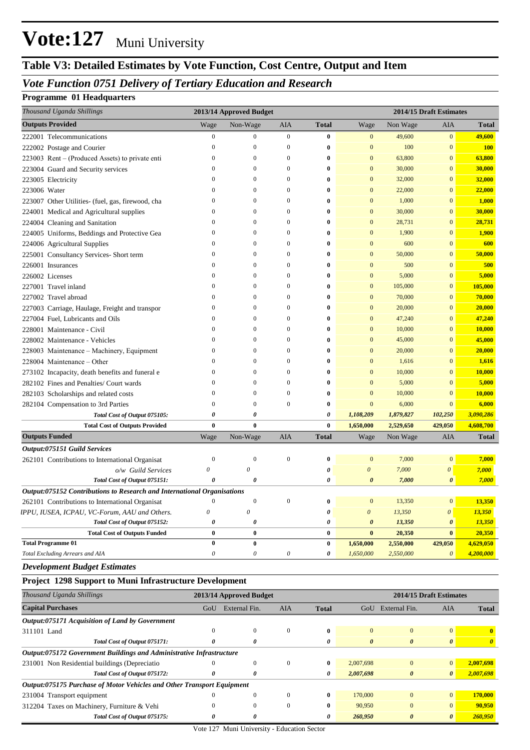## **Table V3: Detailed Estimates by Vote Function, Cost Centre, Output and Item**

### *Vote Function 0751 Delivery of Tertiary Education and Research*

#### **Programme 01 Headquarters**

| Thousand Uganda Shillings                                               |                           | 2013/14 Approved Budget |                  |               |                           |                                           | 2014/15 Draft Estimates |                       |
|-------------------------------------------------------------------------|---------------------------|-------------------------|------------------|---------------|---------------------------|-------------------------------------------|-------------------------|-----------------------|
| <b>Outputs Provided</b>                                                 | Wage                      | Non-Wage                | AIA              | <b>Total</b>  | Wage                      | Non Wage                                  | AIA                     | Total                 |
| 222001 Telecommunications                                               | $\boldsymbol{0}$          | $\boldsymbol{0}$        | $\mathbf{0}$     | $\bf{0}$      | $\mathbf{0}$              | 49,600                                    | $\mathbf{0}$            | 49,600                |
| 222002 Postage and Courier                                              | $\theta$                  | $\boldsymbol{0}$        | $\boldsymbol{0}$ | $\bf{0}$      | $\mathbf{0}$              | 100                                       | $\mathbf{0}$            | <b>100</b>            |
| 223003 Rent – (Produced Assets) to private enti                         | $\Omega$                  | $\boldsymbol{0}$        | $\boldsymbol{0}$ | $\bf{0}$      | $\mathbf{0}$              | 63,800                                    | $\mathbf{0}$            | 63,800                |
| 223004 Guard and Security services                                      | $\theta$                  | $\boldsymbol{0}$        | $\boldsymbol{0}$ | 0             | $\mathbf{0}$              | 30,000                                    | $\mathbf{0}$            | 30,000                |
| 223005 Electricity                                                      | $\Omega$                  | $\boldsymbol{0}$        | $\boldsymbol{0}$ | 0             | $\mathbf{0}$              | 32,000                                    | $\mathbf{0}$            | 32,000                |
| 223006 Water                                                            | $\Omega$                  | $\boldsymbol{0}$        | $\boldsymbol{0}$ | $\bf{0}$      | $\mathbf{0}$              | 22,000                                    | $\mathbf{0}$            | 22,000                |
| 223007 Other Utilities- (fuel, gas, firewood, cha                       | $\Omega$                  | $\boldsymbol{0}$        | $\boldsymbol{0}$ | $\bf{0}$      | $\mathbf{0}$              | 1,000                                     | $\mathbf{0}$            | 1,000                 |
| 224001 Medical and Agricultural supplies                                | $\Omega$                  | $\boldsymbol{0}$        | $\boldsymbol{0}$ | 0             | $\mathbf{0}$              | 30,000                                    | $\mathbf{0}$            | 30,000                |
| 224004 Cleaning and Sanitation                                          | $\Omega$                  | $\boldsymbol{0}$        | $\boldsymbol{0}$ | 0             | $\mathbf{0}$              | 28,731                                    | $\mathbf{0}$            | 28,731                |
| 224005 Uniforms, Beddings and Protective Gea                            | $\Omega$                  | $\boldsymbol{0}$        | $\boldsymbol{0}$ | $\bf{0}$      | $\overline{0}$            | 1,900                                     | $\mathbf{0}$            | 1,900                 |
| 224006 Agricultural Supplies                                            | $\Omega$                  | $\boldsymbol{0}$        | $\boldsymbol{0}$ | $\bf{0}$      | $\mathbf{0}$              | 600                                       | $\mathbf{0}$            | 600                   |
| 225001 Consultancy Services- Short term                                 | $\Omega$                  | $\boldsymbol{0}$        | $\boldsymbol{0}$ | 0             | $\mathbf{0}$              | 50,000                                    | $\mathbf{0}$            | 50,000                |
| 226001 Insurances                                                       | $\Omega$                  | $\boldsymbol{0}$        | $\boldsymbol{0}$ | 0             | $\mathbf{0}$              | 500                                       | $\mathbf{0}$            | 500                   |
| 226002 Licenses                                                         | $\Omega$                  | $\boldsymbol{0}$        | $\boldsymbol{0}$ | $\bf{0}$      | $\mathbf{0}$              | 5,000                                     | $\mathbf{0}$            | 5,000                 |
| 227001 Travel inland                                                    | $\Omega$                  | $\boldsymbol{0}$        | $\boldsymbol{0}$ | $\bf{0}$      | $\mathbf{0}$              | 105,000                                   | $\mathbf{0}$            | 105,000               |
| 227002 Travel abroad                                                    | $\Omega$                  | $\boldsymbol{0}$        | $\boldsymbol{0}$ | $\bf{0}$      | $\mathbf{0}$              | 70,000                                    | $\mathbf{0}$            | 70,000                |
| 227003 Carriage, Haulage, Freight and transpor                          | $\Omega$                  | $\boldsymbol{0}$        | $\boldsymbol{0}$ | 0             | $\mathbf{0}$              | 20,000                                    | $\mathbf{0}$            | 20,000                |
| 227004 Fuel, Lubricants and Oils                                        | $\Omega$                  | $\boldsymbol{0}$        | $\boldsymbol{0}$ | 0             | $\mathbf{0}$              | 47,240                                    | $\mathbf{0}$            | 47,240                |
| 228001 Maintenance - Civil                                              | $\Omega$                  | $\boldsymbol{0}$        | $\boldsymbol{0}$ | 0             | $\mathbf{0}$              | 10,000                                    | $\mathbf{0}$            | 10,000                |
| 228002 Maintenance - Vehicles                                           | $\Omega$                  | $\boldsymbol{0}$        | $\boldsymbol{0}$ | $\bf{0}$      | $\mathbf{0}$              | 45,000                                    | $\mathbf{0}$            | 45,000                |
| 228003 Maintenance – Machinery, Equipment                               | $\Omega$                  | $\boldsymbol{0}$        | $\boldsymbol{0}$ | 0             | $\mathbf{0}$              | 20,000                                    | $\mathbf{0}$            | 20,000                |
| 228004 Maintenance – Other                                              | $\Omega$                  | $\boldsymbol{0}$        | $\boldsymbol{0}$ | $\bf{0}$      | $\mathbf{0}$              | 1,616                                     | $\mathbf{0}$            | 1,616                 |
| 273102 Incapacity, death benefits and funeral e                         | $\Omega$                  | $\boldsymbol{0}$        | $\mathbf{0}$     | $\bf{0}$      | $\mathbf{0}$              | 10,000                                    | $\mathbf{0}$            | 10,000                |
| 282102 Fines and Penalties/ Court wards                                 | $\Omega$                  | $\boldsymbol{0}$        | $\mathbf{0}$     | $\bf{0}$      | $\mathbf{0}$              | 5,000                                     | $\mathbf{0}$            | 5,000                 |
| 282103 Scholarships and related costs                                   | $\Omega$                  | $\boldsymbol{0}$        | $\boldsymbol{0}$ | $\bf{0}$      | $\overline{0}$            | 10,000                                    | $\mathbf{0}$            | 10,000                |
| 282104 Compensation to 3rd Parties                                      | $\theta$                  | $\boldsymbol{0}$        | $\mathbf{0}$     | $\bf{0}$      | $\overline{0}$            | 6,000                                     | $\mathbf{0}$            | 6,000                 |
| Total Cost of Output 075105:                                            | 0                         | 0                       |                  | 0             | 1,108,209                 | 1,879,827                                 | 102,250                 | 3,090,286             |
| <b>Total Cost of Outputs Provided</b>                                   | $\bf{0}$                  | $\bf{0}$                |                  | $\bf{0}$      | 1,650,000                 | 2,529,650                                 | 429,050                 | 4,608,700             |
| <b>Outputs Funded</b>                                                   | Wage                      | Non-Wage                | AIA              | <b>Total</b>  | Wage                      | Non Wage                                  | AIA                     | <b>Total</b>          |
| Output:075151 Guild Services                                            |                           |                         |                  |               |                           |                                           |                         |                       |
| 262101 Contributions to International Organisat                         | $\boldsymbol{0}$          | $\overline{0}$          | $\boldsymbol{0}$ | $\bf{0}$      | $\mathbf{0}$              | 7,000                                     | $\mathbf{0}$            | 7,000                 |
| o/w Guild Services                                                      | $\boldsymbol{\mathit{0}}$ | 0                       |                  | 0             | $\boldsymbol{\theta}$     | 7,000                                     | $\boldsymbol{\theta}$   | 7,000                 |
| Total Cost of Output 075151:                                            | $\theta$                  | 0                       |                  | 0             | 0                         | 7,000                                     | $\boldsymbol{\theta}$   | 7,000                 |
| Output:075152 Contributions to Research and International Organisations |                           |                         |                  |               |                           |                                           |                         |                       |
| 262101 Contributions to International Organisat                         | $\mathbf{0}$              | $\boldsymbol{0}$        | $\boldsymbol{0}$ | $\bf{0}$      | $\mathbf{0}$              | 13,350                                    | $\mathbf{0}$            | 13,350                |
| IPPU, IUSEA, ICPAU, VC-Forum, AAU and Others.                           | $\boldsymbol{\mathit{0}}$ | 0                       |                  | 0             | $\boldsymbol{\mathit{0}}$ | 13,350                                    | $\pmb{o}$               | 13,350                |
| Total Cost of Output 075152:                                            | 0                         | 0                       |                  | 0             | $\theta$                  | 13,350                                    | $\boldsymbol{\theta}$   | 13,350                |
| <b>Total Cost of Outputs Funded</b>                                     | 0                         | $\bf{0}$                |                  | $\bf{0}$      | $\bf{0}$                  | 20,350                                    | $\bf{0}$                | 20,350                |
| <b>Total Programme 01</b>                                               | $\bf{0}$                  | $\bf{0}$                |                  | $\bf{0}$      | 1,650,000                 | 2,550,000                                 | 429,050                 | 4,629,050             |
| Total Excluding Arrears and AIA                                         | 0                         | $\boldsymbol{\theta}$   | 0                | 0             | 1,650,000                 | 2,550,000                                 | $\theta$                | 4,200,000             |
| <b>Development Budget Estimates</b>                                     |                           |                         |                  |               |                           |                                           |                         |                       |
| <b>Project 1298 Support to Muni Infrastructure Development</b>          |                           |                         |                  |               |                           |                                           |                         |                       |
| Thousand Uganda Shillings                                               |                           | 2013/14 Approved Budget |                  |               |                           |                                           | 2014/15 Draft Estimates |                       |
| <b>Capital Purchases</b>                                                |                           | GoU External Fin.       | AIA              | <b>Total</b>  |                           | GoU External Fin.                         | AIA                     | <b>Total</b>          |
|                                                                         |                           |                         |                  |               |                           |                                           |                         |                       |
| Output:075171 Acquisition of Land by Government                         |                           | $\boldsymbol{0}$        | $\boldsymbol{0}$ | $\bf{0}$      |                           | $\boldsymbol{0}$                          | $\mathbf{0}$            | $\mathbf{0}$          |
| 311101 Land<br>Total Cost of Output 075171:                             | 0                         | 0                       |                  | 0             | $\boldsymbol{\theta}$     | $\boldsymbol{\theta}$                     | $\boldsymbol{\theta}$   |                       |
|                                                                         |                           |                         |                  |               |                           |                                           |                         | $\boldsymbol{\theta}$ |
| Output:075172 Government Buildings and Administrative Infrastructure    | $\theta$                  |                         |                  |               |                           |                                           |                         | 2,007,698             |
| 231001 Non Residential buildings (Depreciatio                           | 0                         | $\boldsymbol{0}$        | $\boldsymbol{0}$ | $\bf{0}$<br>0 | 2,007,698                 | $\boldsymbol{0}$<br>$\boldsymbol{\theta}$ | $\mathbf{0}$            |                       |
| Total Cost of Output 075172:                                            |                           | 0                       |                  |               | 2,007,698                 |                                           | $\boldsymbol{\theta}$   | 2,007,698             |
| Output:075175 Purchase of Motor Vehicles and Other Transport Equipment  |                           |                         |                  |               |                           |                                           |                         |                       |
| 231004 Transport equipment                                              |                           | $\boldsymbol{0}$        | $\mathbf{0}$     | $\bf{0}$      | 170,000                   | $\mathbf{0}$                              | $\mathbf{0}$            | 170,000               |
| 312204 Taxes on Machinery, Furniture & Vehi                             | $\theta$                  | $\boldsymbol{0}$        | $\overline{0}$   | $\bf{0}$      | 90,950                    | $\mathbf{0}$                              | $\mathbf{0}$            | 90,950                |
| Total Cost of Output 075175:                                            | 0                         | 0                       |                  | 0             | 260,950                   | $\boldsymbol{\theta}$                     | $\boldsymbol{\theta}$   | 260,950               |